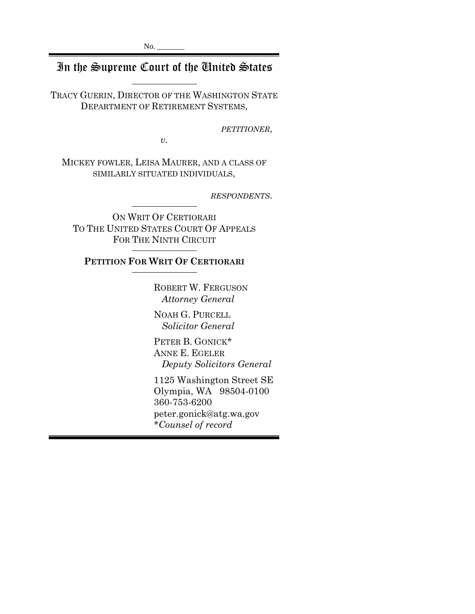# In the Supreme Court of the United States

TRACY GUERIN, DIRECTOR OF THE WASHINGTON STATE DEPARTMENT OF RETIREMENT SYSTEMS,

*PETITIONER*,

*v.*

MICKEY FOWLER, LEISA MAURER, AND A CLASS OF SIMILARLY SITUATED INDIVIDUALS,

*RESPONDENTS*.

ON WRIT OF CERTIORARI TO THE UNITED STATES COURT OF APPEALS FOR THE NINTH CIRCUIT

## **PETITION FOR WRIT OF CERTIORARI**

ROBERT W. FERGUSON  *Attorney General*

NOAH G. PURCELL  *Solicitor General*

PETER B. GONICK\* ANNE E. EGELER  *Deputy Solicitors General*

1125 Washington Street SE Olympia, WA 98504-0100 360-753-6200 peter.gonick@atg.wa.gov *\*Counsel of record*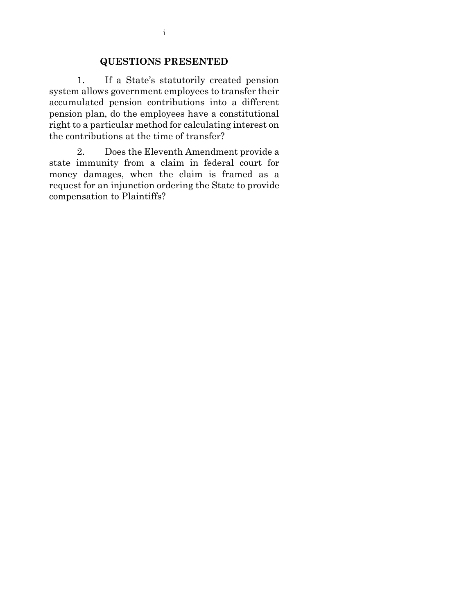### **QUESTIONS PRESENTED**

1. If a State's statutorily created pension system allows government employees to transfer their accumulated pension contributions into a different pension plan, do the employees have a constitutional right to a particular method for calculating interest on the contributions at the time of transfer?

2. Does the Eleventh Amendment provide a state immunity from a claim in federal court for money damages, when the claim is framed as a request for an injunction ordering the State to provide compensation to Plaintiffs?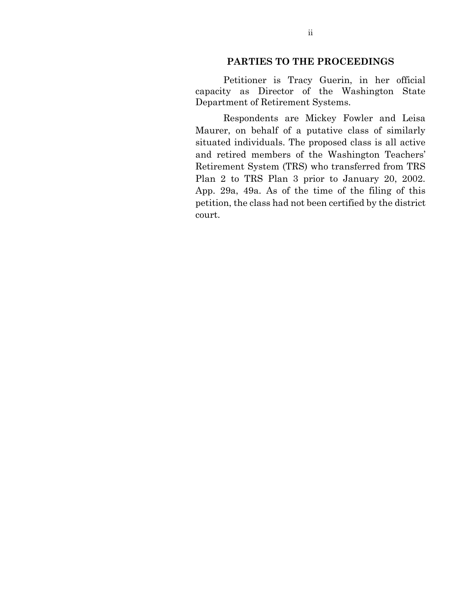### **PARTIES TO THE PROCEEDINGS**

Petitioner is Tracy Guerin, in her official capacity as Director of the Washington State Department of Retirement Systems.

Respondents are Mickey Fowler and Leisa Maurer, on behalf of a putative class of similarly situated individuals. The proposed class is all active and retired members of the Washington Teachers' Retirement System (TRS) who transferred from TRS Plan 2 to TRS Plan 3 prior to January 20, 2002. App. 29a, 49a. As of the time of the filing of this petition, the class had not been certified by the district court.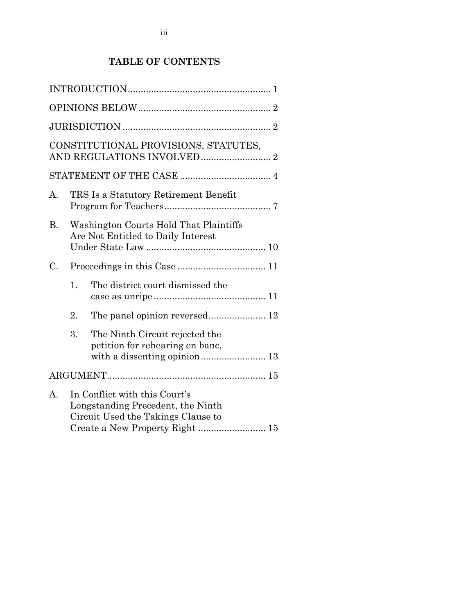## **TABLE OF CONTENTS**

|    |                                                                              | CONSTITUTIONAL PROVISIONS, STATUTES,                                                                     |  |
|----|------------------------------------------------------------------------------|----------------------------------------------------------------------------------------------------------|--|
|    |                                                                              |                                                                                                          |  |
| А. |                                                                              | TRS Is a Statutory Retirement Benefit                                                                    |  |
| В. | Washington Courts Hold That Plaintiffs<br>Are Not Entitled to Daily Interest |                                                                                                          |  |
| C. |                                                                              |                                                                                                          |  |
|    | 1.                                                                           | The district court dismissed the                                                                         |  |
|    | 2.                                                                           |                                                                                                          |  |
|    | 3.                                                                           | The Ninth Circuit rejected the<br>petition for rehearing en banc,                                        |  |
|    |                                                                              |                                                                                                          |  |
| A. |                                                                              | In Conflict with this Court's<br>Longstanding Precedent, the Ninth<br>Circuit Used the Takings Clause to |  |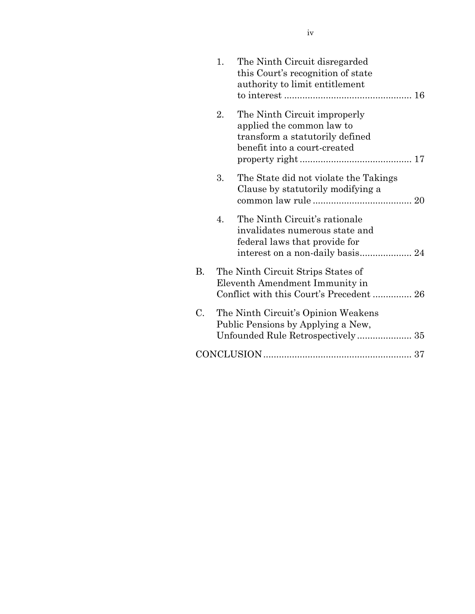|    | 1. | The Ninth Circuit disregarded<br>this Court's recognition of state<br>authority to limit entitlement                         |
|----|----|------------------------------------------------------------------------------------------------------------------------------|
|    | 2. | The Ninth Circuit improperly<br>applied the common law to<br>transform a statutorily defined<br>benefit into a court-created |
|    | 3. | The State did not violate the Takings<br>Clause by statutorily modifying a                                                   |
|    | 4. | The Ninth Circuit's rationale<br>invalidates numerous state and<br>federal laws that provide for                             |
| В. |    | The Ninth Circuit Strips States of<br>Eleventh Amendment Immunity in<br>Conflict with this Court's Precedent 26              |
| C. |    | The Ninth Circuit's Opinion Weakens<br>Public Pensions by Applying a New,                                                    |
|    |    |                                                                                                                              |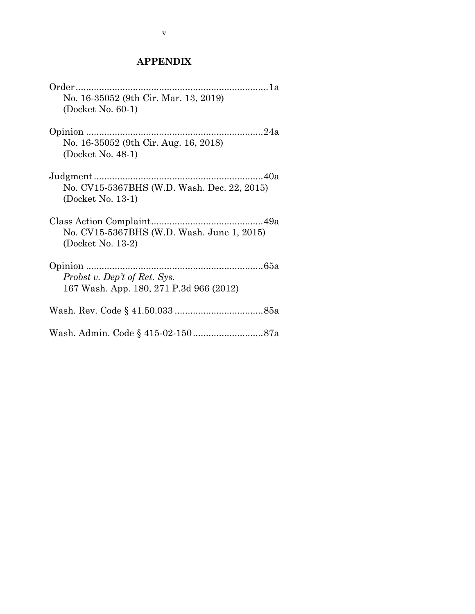## **APPENDIX**

| No. 16-35052 (9th Cir. Mar. 13, 2019)       |  |
|---------------------------------------------|--|
| (Docket No. 60-1)                           |  |
|                                             |  |
| No. 16-35052 (9th Cir. Aug. 16, 2018)       |  |
| (Docket No. 48-1)                           |  |
|                                             |  |
| No. CV15-5367BHS (W.D. Wash. Dec. 22, 2015) |  |
| (Docket No. 13-1)                           |  |
|                                             |  |
| No. CV15-5367BHS (W.D. Wash. June 1, 2015)  |  |
| (Docket No. 13-2)                           |  |
|                                             |  |
| Probst v. Dep't of Ret. Sys.                |  |
| 167 Wash. App. 180, 271 P.3d 966 (2012)     |  |
|                                             |  |
|                                             |  |
|                                             |  |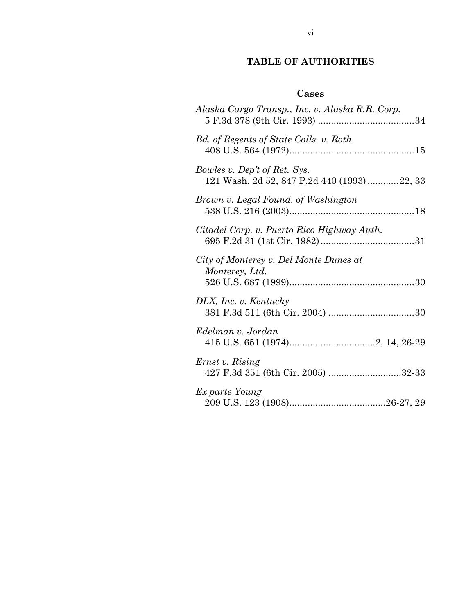## **TABLE OF AUTHORITIES**

## **Cases**

| Alaska Cargo Transp., Inc. v. Alaska R.R. Corp.                            |
|----------------------------------------------------------------------------|
| Bd. of Regents of State Colls. v. Roth                                     |
| Bowles v. Dep't of Ret. Sys.<br>121 Wash. 2d 52, 847 P.2d 440 (1993)22, 33 |
| Brown v. Legal Found. of Washington                                        |
| Citadel Corp. v. Puerto Rico Highway Auth.                                 |
| City of Monterey v. Del Monte Dunes at<br>Monterey, Ltd.                   |
| DLX, Inc. v. Kentucky                                                      |
| Edelman v. Jordan                                                          |
| Ernst v. Rising<br>427 F.3d 351 (6th Cir. 2005) 32-33                      |
| Ex parte Young                                                             |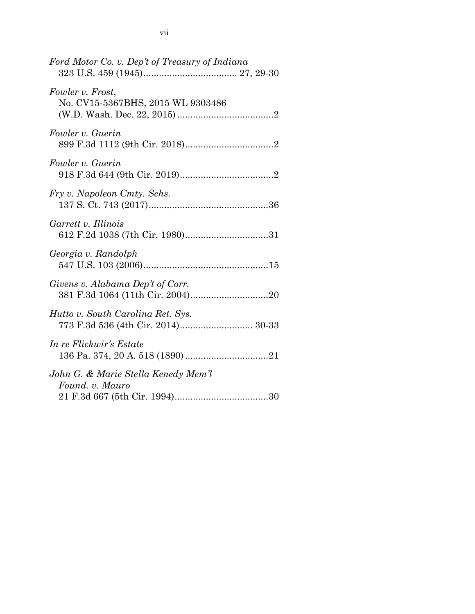| 773 F.3d 536 (4th Cir. 2014) 30-33 |
|------------------------------------|
|                                    |
|                                    |
|                                    |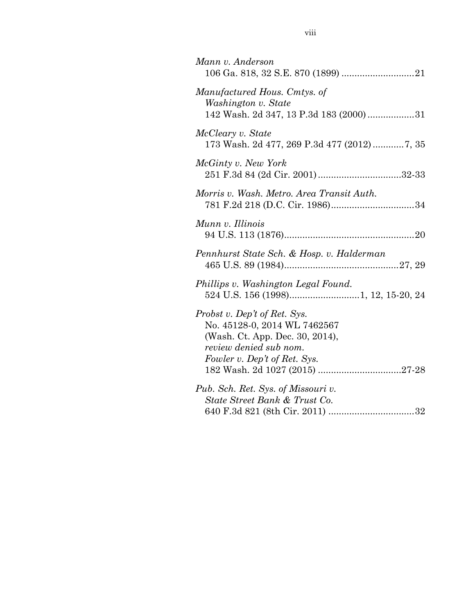| Mann v. Anderson                                                                                                                                          |
|-----------------------------------------------------------------------------------------------------------------------------------------------------------|
| Manufactured Hous. Cmtys. of<br>Washington v. State<br>142 Wash. 2d 347, 13 P.3d 183 (2000) 31                                                            |
| McCleary v. State<br>173 Wash. 2d 477, 269 P.3d 477 (2012)7, 35                                                                                           |
| McGinty v. New York<br>251 F.3d 84 (2d Cir. 2001)32-33                                                                                                    |
| Morris v. Wash. Metro. Area Transit Auth.                                                                                                                 |
| Munn v. Illinois                                                                                                                                          |
| Pennhurst State Sch. & Hosp. v. Halderman                                                                                                                 |
| Phillips v. Washington Legal Found.                                                                                                                       |
| Probst v. Dep't of Ret. Sys.<br>No. 45128-0, 2014 WL 7462567<br>(Wash. Ct. App. Dec. 30, 2014),<br>review denied sub nom.<br>Fowler v. Dep't of Ret. Sys. |
| Pub. Sch. Ret. Sys. of Missouri v.<br>State Street Bank & Trust Co.                                                                                       |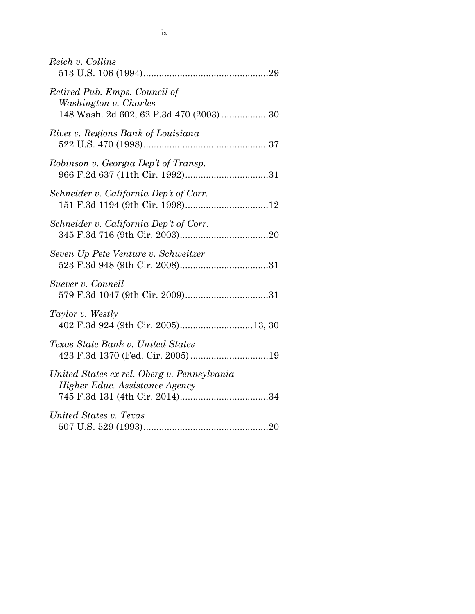| Reich v. Collins                                                                                  |
|---------------------------------------------------------------------------------------------------|
| Retired Pub. Emps. Council of<br>Washington v. Charles<br>148 Wash. 2d 602, 62 P.3d 470 (2003) 30 |
| Rivet v. Regions Bank of Louisiana                                                                |
| Robinson v. Georgia Dep't of Transp.                                                              |
| Schneider v. California Dep't of Corr.                                                            |
| Schneider v. California Dep't of Corr.                                                            |
| Seven Up Pete Venture v. Schweitzer                                                               |
| Suever v. Connell                                                                                 |
| Taylor v. Westly                                                                                  |
| Texas State Bank v. United States<br>423 F.3d 1370 (Fed. Cir. 2005)19                             |
| United States ex rel. Oberg v. Pennsylvania<br>Higher Educ. Assistance Agency                     |
| United States v. Texas                                                                            |
|                                                                                                   |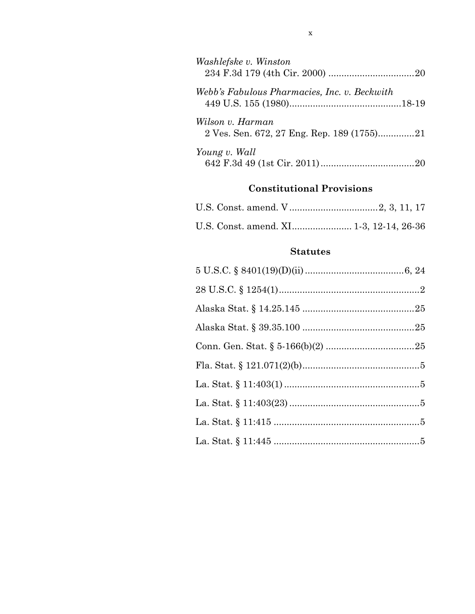| Washlefske v. Winston                                          |  |
|----------------------------------------------------------------|--|
| Webb's Fabulous Pharmacies, Inc. v. Beckwith                   |  |
| Wilson v. Harman<br>2 Ves. Sen. 672, 27 Eng. Rep. 189 (1755)21 |  |
| Young v. Wall                                                  |  |

## **Constitutional Provisions**

|  | U.S. Const. amend. XI 1-3, 12-14, 26-36 |  |  |  |
|--|-----------------------------------------|--|--|--|

## **Statutes**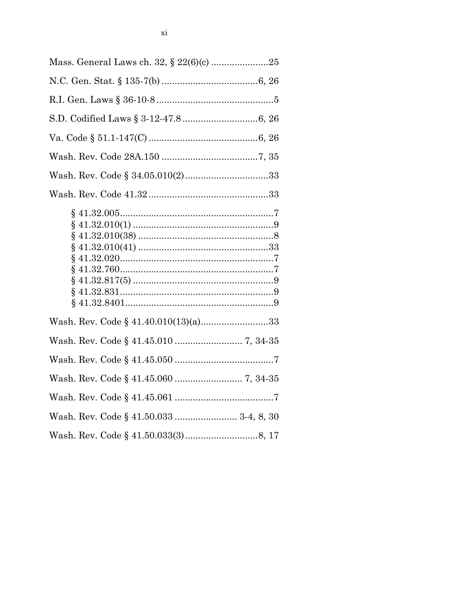| Wash. Rev. Code § 41.40.010(13)(a)33    |  |
|-----------------------------------------|--|
|                                         |  |
|                                         |  |
|                                         |  |
|                                         |  |
| Wash. Rev. Code § 41.50.033  3-4, 8, 30 |  |
|                                         |  |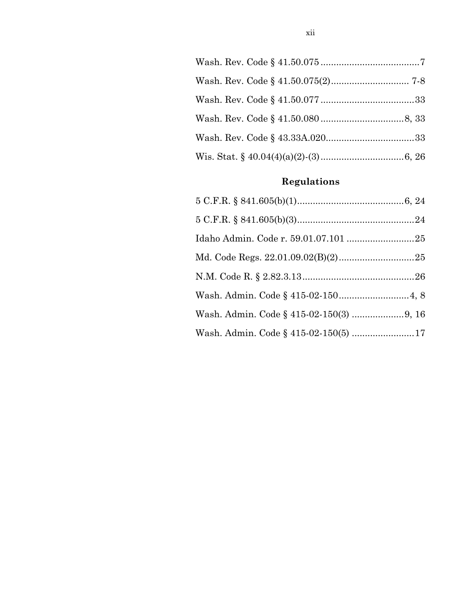# **Regulations**

| Wash. Admin. Code § 415-02-150(5) 17 |  |
|--------------------------------------|--|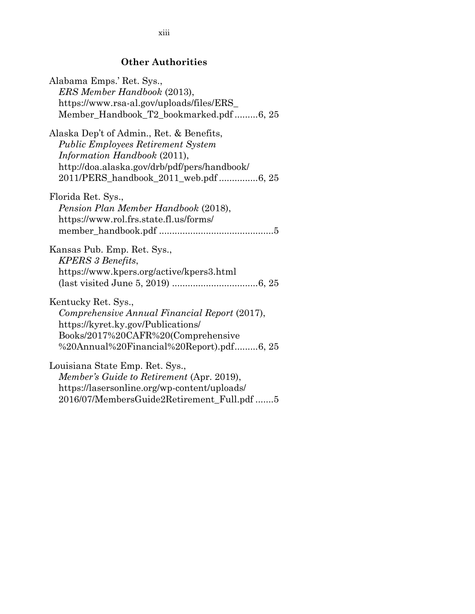## **Other Authorities**

| Alabama Emps.' Ret. Sys.,<br>ERS Member Handbook (2013), |
|----------------------------------------------------------|
| https://www.rsa-al.gov/uploads/files/ERS_                |
|                                                          |
| Member_Handbook_T2_bookmarked.pdf6, 25                   |
| Alaska Dep't of Admin., Ret. & Benefits,                 |
| <b>Public Employees Retirement System</b>                |
| Information Handbook (2011),                             |
| http://doa.alaska.gov/drb/pdf/pers/handbook/             |
| 2011/PERS_handbook_2011_web.pdf 6, 25                    |
| Florida Ret. Sys.,                                       |
| Pension Plan Member Handbook (2018),                     |
| https://www.rol.frs.state.fl.us/forms/                   |
|                                                          |
| Kansas Pub. Emp. Ret. Sys.,                              |
| <b>KPERS</b> 3 Benefits,                                 |
| https://www.kpers.org/active/kpers3.html                 |
|                                                          |
| Kentucky Ret. Sys.,                                      |
| Comprehensive Annual Financial Report (2017),            |
| https://kyret.ky.gov/Publications/                       |
| Books/2017%20CAFR%20(Comprehensive                       |
| %20Annual%20Financial%20Report).pdf6, 25                 |
| Louisiana State Emp. Ret. Sys.,                          |
| Member's Guide to Retirement (Apr. 2019),                |
| https://lasersonline.org/wp-content/uploads/             |
| 2016/07/MembersGuide2Retirement_Full.pdf 5               |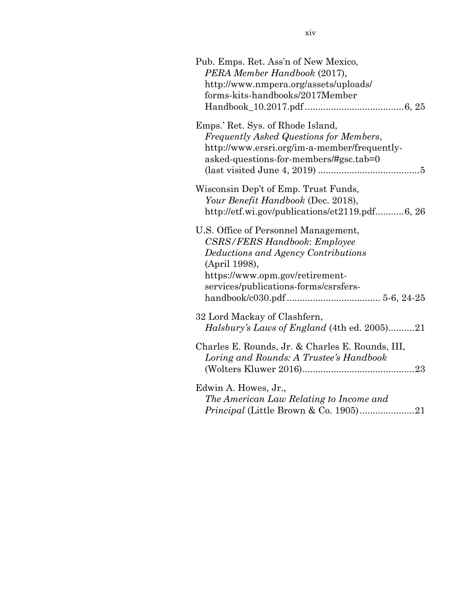| Pub. Emps. Ret. Ass'n of New Mexico,<br>PERA Member Handbook (2017),<br>http://www.nmpera.org/assets/uploads/<br>forms-kits-handbooks/2017Member                                                                |
|-----------------------------------------------------------------------------------------------------------------------------------------------------------------------------------------------------------------|
| Emps.' Ret. Sys. of Rhode Island,<br>Frequently Asked Questions for Members,<br>http://www.ersri.org/im-a-member/frequently-<br>asked-questions-for-members/#gsc.tab=0                                          |
| Wisconsin Dep't of Emp. Trust Funds,<br>Your Benefit Handbook (Dec. 2018),<br>http://etf.wi.gov/publications/et2119.pdf6, 26                                                                                    |
| U.S. Office of Personnel Management,<br><b>CSRS/FERS Handbook: Employee</b><br>Deductions and Agency Contributions<br>(April 1998),<br>https://www.opm.gov/retirement-<br>services/publications-forms/csrsfers- |
| 32 Lord Mackay of Clashfern,<br>Halsbury's Laws of England (4th ed. 2005)21                                                                                                                                     |
| Charles E. Rounds, Jr. & Charles E. Rounds, III,<br>Loring and Rounds: A Trustee's Handbook                                                                                                                     |
| Edwin A. Howes, Jr.,<br>The American Law Relating to Income and                                                                                                                                                 |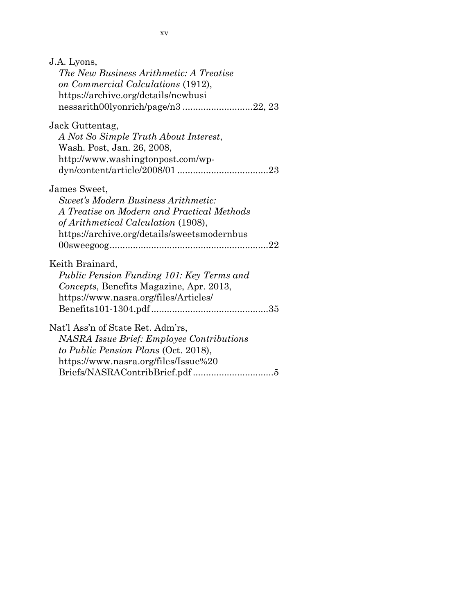| J.A. Lyons,                                      |
|--------------------------------------------------|
| The New Business Arithmetic: A Treatise          |
| on Commercial Calculations (1912),               |
| https://archive.org/details/newbusi              |
| nessarith00lyonrich/page/n322, 23                |
| Jack Guttentag,                                  |
| A Not So Simple Truth About Interest,            |
| Wash. Post, Jan. 26, 2008,                       |
| http://www.washingtonpost.com/wp-                |
|                                                  |
| James Sweet,                                     |
| <b>Sweet's Modern Business Arithmetic:</b>       |
| A Treatise on Modern and Practical Methods       |
| of Arithmetical Calculation (1908),              |
| https://archive.org/details/sweetsmodernbus      |
|                                                  |
| Keith Brainard,                                  |
| Public Pension Funding 101: Key Terms and        |
| Concepts, Benefits Magazine, Apr. 2013,          |
| https://www.nasra.org/files/Articles/            |
|                                                  |
| Nat'l Ass'n of State Ret. Adm'rs,                |
| <b>NASRA Issue Brief: Employee Contributions</b> |
| to Public Pension Plans (Oct. 2018),             |
| https://www.nasra.org/files/Issue%20             |
|                                                  |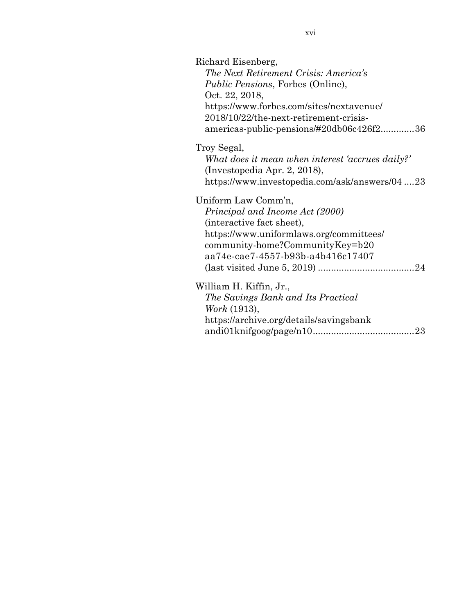| Richard Eisenberg,<br>The Next Retirement Crisis: America's<br><i>Public Pensions</i> , Forbes (Online),<br>Oct. 22, 2018,<br>https://www.forbes.com/sites/nextavenue/<br>2018/10/22/the-next-retirement-crisis-<br>americas-public-pensions/#20db06c426f236 |
|--------------------------------------------------------------------------------------------------------------------------------------------------------------------------------------------------------------------------------------------------------------|
| Troy Segal,<br>What does it mean when interest 'accrues daily?'<br>(Investopedia Apr. 2, 2018),<br>https://www.investopedia.com/ask/answers/0423                                                                                                             |
| Uniform Law Comm'n,<br>Principal and Income Act (2000)<br>(interactive fact sheet),<br>https://www.uniformlaws.org/committees/<br>community-home?CommunityKey=b20<br>aa74e-cae7-4557-b93b-a4b416c17407                                                       |
| William H. Kiffin, Jr.,<br>The Savings Bank and Its Practical<br>Work (1913),<br>https://archive.org/details/savingsbank                                                                                                                                     |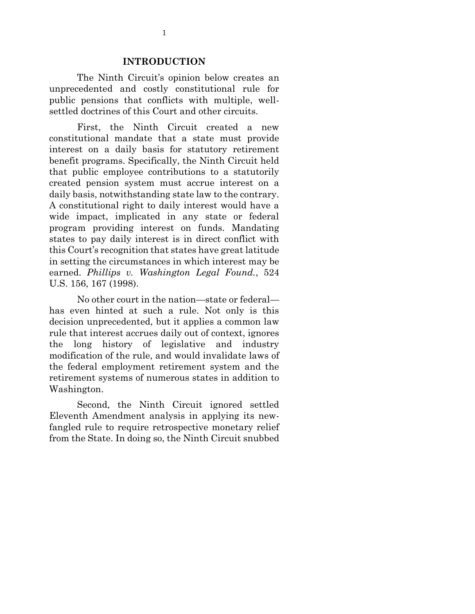#### **INTRODUCTION**

The Ninth Circuit's opinion below creates an unprecedented and costly constitutional rule for public pensions that conflicts with multiple, wellsettled doctrines of this Court and other circuits.

First, the Ninth Circuit created a new constitutional mandate that a state must provide interest on a daily basis for statutory retirement benefit programs. Specifically, the Ninth Circuit held that public employee contributions to a statutorily created pension system must accrue interest on a daily basis, notwithstanding state law to the contrary. A constitutional right to daily interest would have a wide impact, implicated in any state or federal program providing interest on funds. Mandating states to pay daily interest is in direct conflict with this Court's recognition that states have great latitude in setting the circumstances in which interest may be earned. *Phillips v. Washington Legal Found.*, 524 U.S. 156, 167 (1998).

No other court in the nation—state or federal has even hinted at such a rule. Not only is this decision unprecedented, but it applies a common law rule that interest accrues daily out of context, ignores the long history of legislative and industry modification of the rule, and would invalidate laws of the federal employment retirement system and the retirement systems of numerous states in addition to Washington.

Second, the Ninth Circuit ignored settled Eleventh Amendment analysis in applying its newfangled rule to require retrospective monetary relief from the State. In doing so, the Ninth Circuit snubbed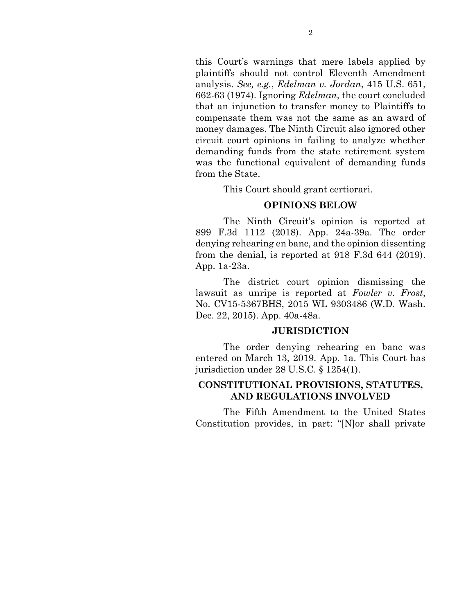this Court's warnings that mere labels applied by plaintiffs should not control Eleventh Amendment analysis. *See, e.g.*, *Edelman v. Jordan*, 415 U.S. 651, 662-63 (1974). Ignoring *Edelman*, the court concluded that an injunction to transfer money to Plaintiffs to compensate them was not the same as an award of money damages. The Ninth Circuit also ignored other circuit court opinions in failing to analyze whether demanding funds from the state retirement system was the functional equivalent of demanding funds from the State.

This Court should grant certiorari.

## **OPINIONS BELOW**

The Ninth Circuit's opinion is reported at 899 F.3d 1112 (2018). App. 24a-39a. The order denying rehearing en banc, and the opinion dissenting from the denial, is reported at 918 F.3d 644 (2019). App. 1a-23a.

The district court opinion dismissing the lawsuit as unripe is reported at *Fowler v. Frost*, No. CV15-5367BHS, 2015 WL 9303486 (W.D. Wash. Dec. 22, 2015). App. 40a-48a.

## **JURISDICTION**

The order denying rehearing en banc was entered on March 13, 2019. App. 1a. This Court has jurisdiction under 28 U.S.C. § 1254(1).

## **CONSTITUTIONAL PROVISIONS, STATUTES, AND REGULATIONS INVOLVED**

The Fifth Amendment to the United States Constitution provides, in part: "[N]or shall private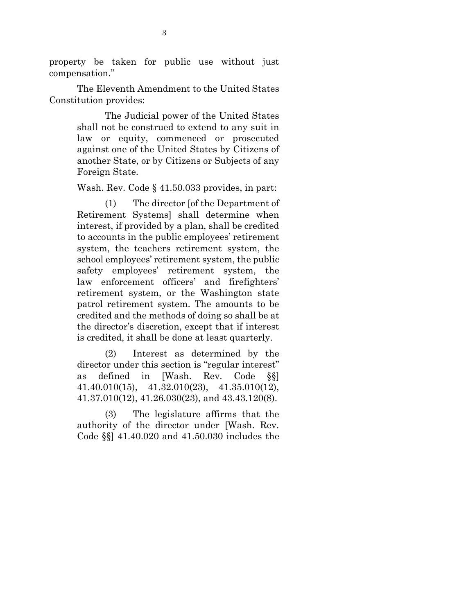property be taken for public use without just compensation."

The Eleventh Amendment to the United States Constitution provides:

> The Judicial power of the United States shall not be construed to extend to any suit in law or equity, commenced or prosecuted against one of the United States by Citizens of another State, or by Citizens or Subjects of any Foreign State.

Wash. Rev. Code § 41.50.033 provides, in part:

(1) The director [of the Department of Retirement Systems] shall determine when interest, if provided by a plan, shall be credited to accounts in the public employees' retirement system, the teachers retirement system, the school employees' retirement system, the public safety employees' retirement system, the law enforcement officers' and firefighters' retirement system, or the Washington state patrol retirement system. The amounts to be credited and the methods of doing so shall be at the director's discretion, except that if interest is credited, it shall be done at least quarterly.

(2) Interest as determined by the director under this section is "regular interest" as defined in [Wash. Rev. Code §§] 41.40.010(15), 41.32.010(23), 41.35.010(12), 41.37.010(12), 41.26.030(23), and 43.43.120(8).

(3) The legislature affirms that the authority of the director under [Wash. Rev. Code §§] 41.40.020 and 41.50.030 includes the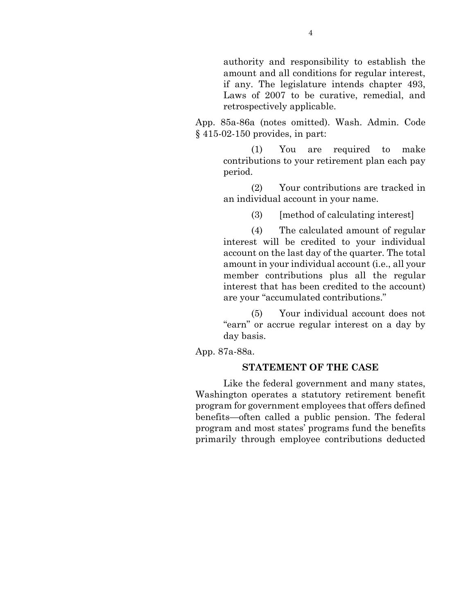authority and responsibility to establish the amount and all conditions for regular interest, if any. The legislature intends chapter 493, Laws of 2007 to be curative, remedial, and retrospectively applicable.

App. 85a-86a (notes omitted). Wash. Admin. Code § 415-02-150 provides, in part:

> (1) You are required to make contributions to your retirement plan each pay period.

> (2) Your contributions are tracked in an individual account in your name.

> > (3) [method of calculating interest]

(4) The calculated amount of regular interest will be credited to your individual account on the last day of the quarter. The total amount in your individual account (i.e., all your member contributions plus all the regular interest that has been credited to the account) are your "accumulated contributions."

(5) Your individual account does not "earn" or accrue regular interest on a day by day basis.

App. 87a-88a.

#### **STATEMENT OF THE CASE**

Like the federal government and many states, Washington operates a statutory retirement benefit program for government employees that offers defined benefits—often called a public pension. The federal program and most states' programs fund the benefits primarily through employee contributions deducted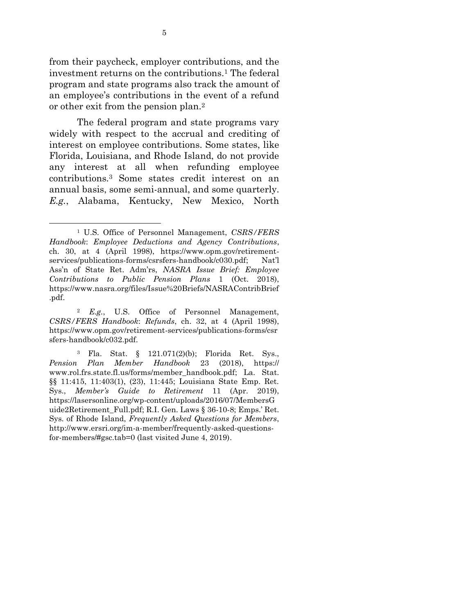from their paycheck, employer contributions, and the investment returns on the contributions.<sup>1</sup> The federal program and state programs also track the amount of an employee's contributions in the event of a refund or other exit from the pension plan.<sup>2</sup>

The federal program and state programs vary widely with respect to the accrual and crediting of interest on employee contributions. Some states, like Florida, Louisiana, and Rhode Island, do not provide any interest at all when refunding employee contributions.<sup>3</sup> Some states credit interest on an annual basis, some semi-annual, and some quarterly. *E.g.*, Alabama, Kentucky, New Mexico, North

 $\overline{a}$ 

<sup>1</sup> U.S. Office of Personnel Management, *CSRS/FERS Handbook*: *Employee Deductions and Agency Contributions*, ch. 30, at 4 (April 1998), https://www.opm.gov/retirementservices/publications-forms/csrsfers-handbook/c030.pdf; Nat'l Ass'n of State Ret. Adm'rs, *NASRA Issue Brief: Employee Contributions to Public Pension Plans* 1 (Oct. 2018), https://www.nasra.org/files/Issue%20Briefs/NASRAContribBrief .pdf.

<sup>2</sup> *E.g.*, U.S. Office of Personnel Management, *CSRS/FERS Handbook*: *Refunds*, ch. 32, at 4 (April 1998), https://www.opm.gov/retirement-services/publications-forms/csr sfers-handbook/c032.pdf.

<sup>3</sup> Fla. Stat. § 121.071(2)(b); Florida Ret. Sys., *Pension Plan Member Handbook* 23 (2018), https:// www.rol.frs.state.fl.us/forms/member\_handbook.pdf; La. Stat. §§ 11:415, 11:403(1), (23), 11:445; Louisiana State Emp. Ret. Sys., *Member's Guide to Retirement* 11 (Apr. 2019), https://lasersonline.org/wp-content/uploads/2016/07/MembersG uide2Retirement\_Full.pdf; R.I. Gen. Laws § 36-10-8; Emps.' Ret. Sys. of Rhode Island, *Frequently Asked Questions for Members*, http://www.ersri.org/im-a-member/frequently-asked-questionsfor-members/#gsc.tab=0 (last visited June 4, 2019).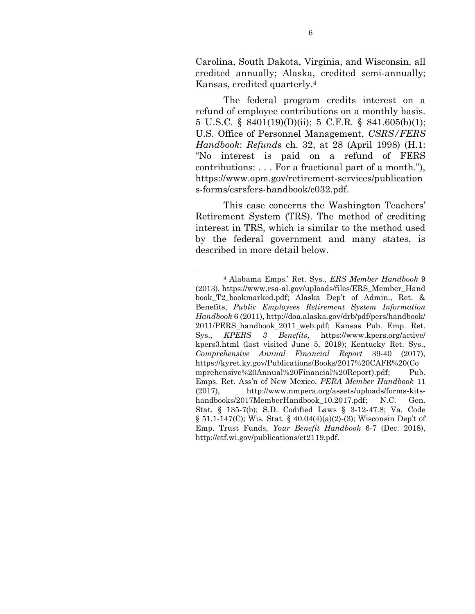Carolina, South Dakota, Virginia, and Wisconsin, all credited annually; Alaska, credited semi-annually; Kansas, credited quarterly.<sup>4</sup>

The federal program credits interest on a refund of employee contributions on a monthly basis. 5 U.S.C. § 8401(19)(D)(ii); 5 C.F.R. § 841.605(b)(1); U.S. Office of Personnel Management, *CSRS/FERS Handbook*: *Refunds* ch. 32, at 28 (April 1998) (H.1: "No interest is paid on a refund of FERS contributions: . . . For a fractional part of a month."), https://www.opm.gov/retirement-services/publication s-forms/csrsfers-handbook/c032.pdf.

This case concerns the Washington Teachers' Retirement System (TRS). The method of crediting interest in TRS, which is similar to the method used by the federal government and many states, is described in more detail below.

l

<sup>4</sup> Alabama Emps.' Ret. Sys., *ERS Member Handbook* 9 (2013), https://www.rsa-al.gov/uploads/files/ERS\_Member\_Hand book\_T2\_bookmarked.pdf; Alaska Dep't of Admin., Ret. & Benefits, *Public Employees Retirement System Information Handbook* 6 (2011), http://doa.alaska.gov/drb/pdf/pers/handbook/ 2011/PERS\_handbook\_2011\_web.pdf; Kansas Pub. Emp. Ret. Sys., *KPERS 3 Benefits*, https://www.kpers.org/active/ kpers3.html (last visited June 5, 2019); Kentucky Ret. Sys., *Comprehensive Annual Financial Report* 39-40 (2017), https://kyret.ky.gov/Publications/Books/2017%20CAFR%20(Co mprehensive%20Annual%20Financial%20Report).pdf; Pub. Emps. Ret. Ass'n of New Mexico, *PERA Member Handbook* 11 (2017), http://www.nmpera.org/assets/uploads/forms-kitshandbooks/2017MemberHandbook 10.2017.pdf; N.C. Gen. Stat. § 135-7(b); S.D. Codified Laws § 3-12-47.8; Va. Code § 51.1-147(C); Wis. Stat. § 40.04(4)(a)(2)-(3); Wisconsin Dep't of Emp. Trust Funds, *Your Benefit Handbook* 6-7 (Dec. 2018), http://etf.wi.gov/publications/et2119.pdf.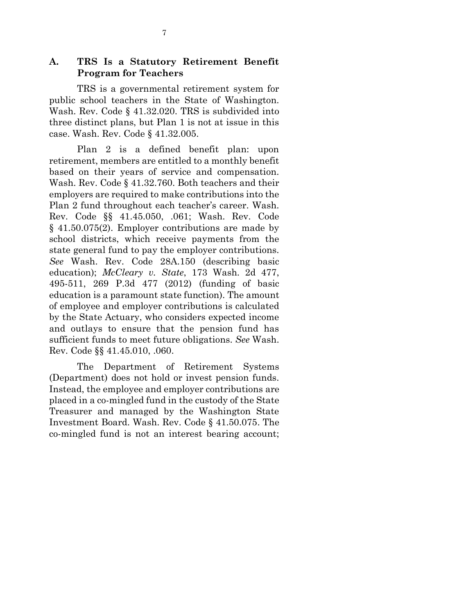## **A. TRS Is a Statutory Retirement Benefit Program for Teachers**

TRS is a governmental retirement system for public school teachers in the State of Washington. Wash. Rev. Code § 41.32.020. TRS is subdivided into three distinct plans, but Plan 1 is not at issue in this case. Wash. Rev. Code § 41.32.005.

Plan 2 is a defined benefit plan: upon retirement, members are entitled to a monthly benefit based on their years of service and compensation. Wash. Rev. Code § 41.32.760. Both teachers and their employers are required to make contributions into the Plan 2 fund throughout each teacher's career. Wash. Rev. Code §§ 41.45.050, .061; Wash. Rev. Code § 41.50.075(2). Employer contributions are made by school districts, which receive payments from the state general fund to pay the employer contributions. *See* Wash. Rev. Code 28A.150 (describing basic education); *McCleary v. State*, 173 Wash. 2d 477, 495-511, 269 P.3d 477 (2012) (funding of basic education is a paramount state function). The amount of employee and employer contributions is calculated by the State Actuary, who considers expected income and outlays to ensure that the pension fund has sufficient funds to meet future obligations. *See* Wash. Rev. Code §§ 41.45.010, .060.

The Department of Retirement Systems (Department) does not hold or invest pension funds. Instead, the employee and employer contributions are placed in a co-mingled fund in the custody of the State Treasurer and managed by the Washington State Investment Board. Wash. Rev. Code § 41.50.075. The co-mingled fund is not an interest bearing account;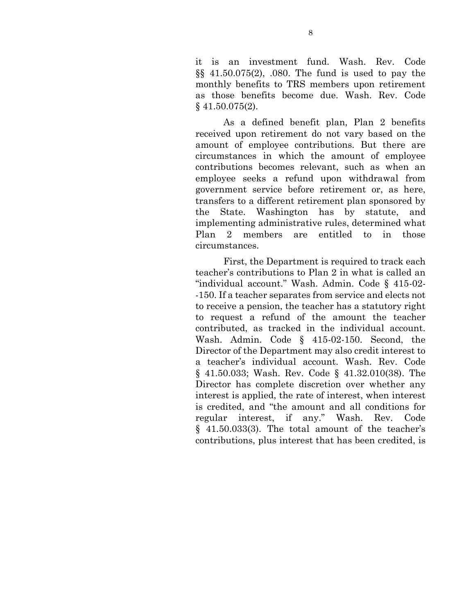it is an investment fund. Wash. Rev. Code §§ 41.50.075(2), .080. The fund is used to pay the monthly benefits to TRS members upon retirement as those benefits become due. Wash. Rev. Code § 41.50.075(2).

As a defined benefit plan, Plan 2 benefits received upon retirement do not vary based on the amount of employee contributions. But there are circumstances in which the amount of employee contributions becomes relevant, such as when an employee seeks a refund upon withdrawal from government service before retirement or, as here, transfers to a different retirement plan sponsored by the State. Washington has by statute, and implementing administrative rules, determined what Plan 2 members are entitled to in those circumstances.

First, the Department is required to track each teacher's contributions to Plan 2 in what is called an "individual account." Wash. Admin. Code § 415-02- -150. If a teacher separates from service and elects not to receive a pension, the teacher has a statutory right to request a refund of the amount the teacher contributed, as tracked in the individual account. Wash. Admin. Code § 415-02-150. Second, the Director of the Department may also credit interest to a teacher's individual account. Wash. Rev. Code § 41.50.033; Wash. Rev. Code § 41.32.010(38). The Director has complete discretion over whether any interest is applied, the rate of interest, when interest is credited, and "the amount and all conditions for regular interest, if any." Wash. Rev. Code § 41.50.033(3). The total amount of the teacher's contributions, plus interest that has been credited, is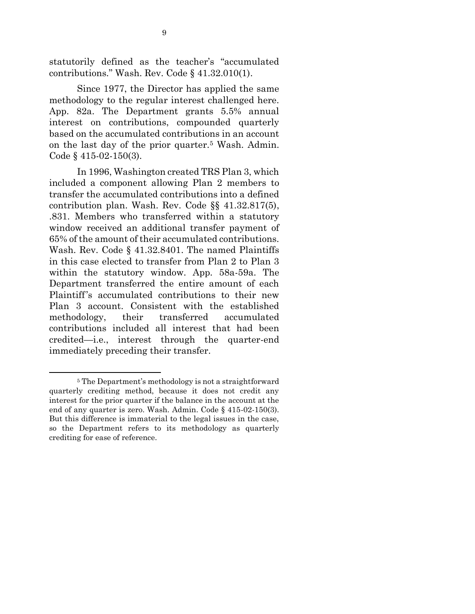statutorily defined as the teacher's "accumulated contributions." Wash. Rev. Code § 41.32.010(1).

Since 1977, the Director has applied the same methodology to the regular interest challenged here. App. 82a. The Department grants 5.5% annual interest on contributions, compounded quarterly based on the accumulated contributions in an account on the last day of the prior quarter.<sup>5</sup> Wash. Admin. Code § 415-02-150(3).

In 1996, Washington created TRS Plan 3, which included a component allowing Plan 2 members to transfer the accumulated contributions into a defined contribution plan. Wash. Rev. Code §§ 41.32.817(5), .831. Members who transferred within a statutory window received an additional transfer payment of 65% of the amount of their accumulated contributions. Wash. Rev. Code § 41.32.8401. The named Plaintiffs in this case elected to transfer from Plan 2 to Plan 3 within the statutory window. App. 58a-59a. The Department transferred the entire amount of each Plaintiff's accumulated contributions to their new Plan 3 account. Consistent with the established methodology, their transferred accumulated contributions included all interest that had been credited—i.e., interest through the quarter-end immediately preceding their transfer.

1

<sup>5</sup> The Department's methodology is not a straightforward quarterly crediting method, because it does not credit any interest for the prior quarter if the balance in the account at the end of any quarter is zero. Wash. Admin. Code § 415-02-150(3). But this difference is immaterial to the legal issues in the case, so the Department refers to its methodology as quarterly crediting for ease of reference.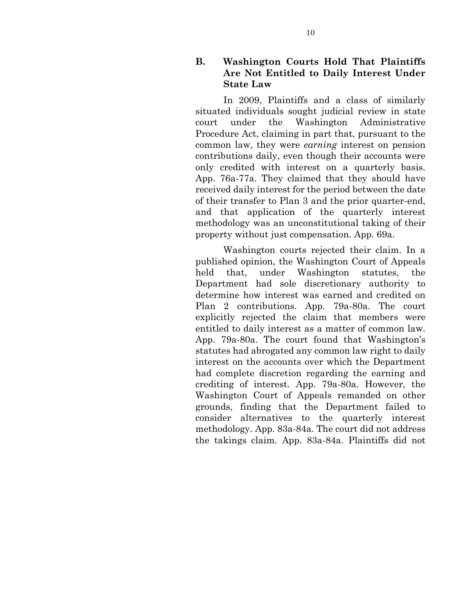## **B. Washington Courts Hold That Plaintiffs Are Not Entitled to Daily Interest Under State Law**

In 2009, Plaintiffs and a class of similarly situated individuals sought judicial review in state court under the Washington Administrative Procedure Act, claiming in part that, pursuant to the common law, they were *earning* interest on pension contributions daily, even though their accounts were only credited with interest on a quarterly basis. App. 76a-77a. They claimed that they should have received daily interest for the period between the date of their transfer to Plan 3 and the prior quarter-end, and that application of the quarterly interest methodology was an unconstitutional taking of their property without just compensation. App. 69a.

Washington courts rejected their claim. In a published opinion, the Washington Court of Appeals held that, under Washington statutes, the Department had sole discretionary authority to determine how interest was earned and credited on Plan 2 contributions. App. 79a-80a. The court explicitly rejected the claim that members were entitled to daily interest as a matter of common law. App. 79a-80a. The court found that Washington's statutes had abrogated any common law right to daily interest on the accounts over which the Department had complete discretion regarding the earning and crediting of interest. App. 79a-80a. However, the Washington Court of Appeals remanded on other grounds, finding that the Department failed to consider alternatives to the quarterly interest methodology. App. 83a-84a. The court did not address the takings claim. App. 83a-84a. Plaintiffs did not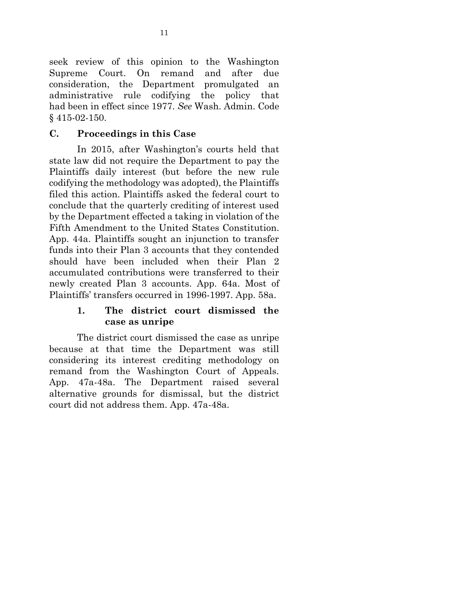seek review of this opinion to the Washington Supreme Court. On remand and after due consideration, the Department promulgated an administrative rule codifying the policy that had been in effect since 1977. *See* Wash. Admin. Code § 415-02-150.

## **C. Proceedings in this Case**

In 2015, after Washington's courts held that state law did not require the Department to pay the Plaintiffs daily interest (but before the new rule codifying the methodology was adopted), the Plaintiffs filed this action. Plaintiffs asked the federal court to conclude that the quarterly crediting of interest used by the Department effected a taking in violation of the Fifth Amendment to the United States Constitution. App. 44a. Plaintiffs sought an injunction to transfer funds into their Plan 3 accounts that they contended should have been included when their Plan 2 accumulated contributions were transferred to their newly created Plan 3 accounts. App. 64a. Most of Plaintiffs' transfers occurred in 1996-1997. App. 58a.

## **1. The district court dismissed the case as unripe**

The district court dismissed the case as unripe because at that time the Department was still considering its interest crediting methodology on remand from the Washington Court of Appeals. App. 47a-48a. The Department raised several alternative grounds for dismissal, but the district court did not address them. App. 47a-48a.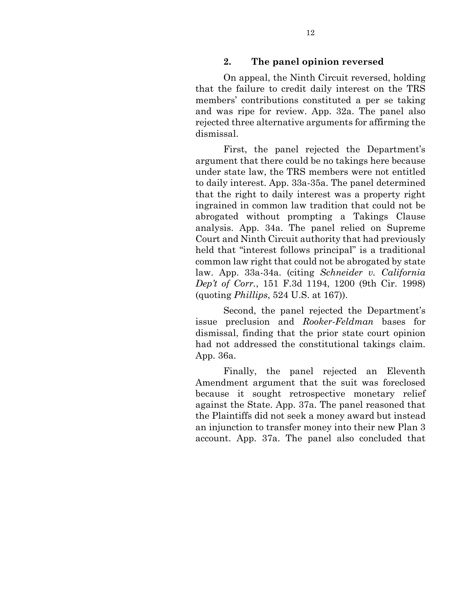## **2. The panel opinion reversed**

On appeal, the Ninth Circuit reversed, holding that the failure to credit daily interest on the TRS members' contributions constituted a per se taking and was ripe for review. App. 32a. The panel also rejected three alternative arguments for affirming the dismissal.

First, the panel rejected the Department's argument that there could be no takings here because under state law, the TRS members were not entitled to daily interest. App. 33a-35a. The panel determined that the right to daily interest was a property right ingrained in common law tradition that could not be abrogated without prompting a Takings Clause analysis. App. 34a. The panel relied on Supreme Court and Ninth Circuit authority that had previously held that "interest follows principal" is a traditional common law right that could not be abrogated by state law. App. 33a-34a. (citing *Schneider v. California Dep't of Corr.*, 151 F.3d 1194, 1200 (9th Cir. 1998) (quoting *Phillips*, 524 U.S. at 167)).

Second, the panel rejected the Department's issue preclusion and *Rooker-Feldman* bases for dismissal, finding that the prior state court opinion had not addressed the constitutional takings claim. App. 36a.

Finally, the panel rejected an Eleventh Amendment argument that the suit was foreclosed because it sought retrospective monetary relief against the State. App. 37a. The panel reasoned that the Plaintiffs did not seek a money award but instead an injunction to transfer money into their new Plan 3 account. App. 37a. The panel also concluded that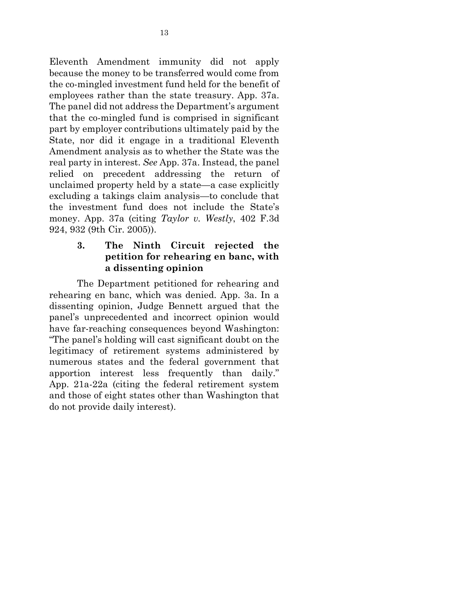Eleventh Amendment immunity did not apply because the money to be transferred would come from the co-mingled investment fund held for the benefit of employees rather than the state treasury. App. 37a. The panel did not address the Department's argument that the co-mingled fund is comprised in significant part by employer contributions ultimately paid by the State, nor did it engage in a traditional Eleventh Amendment analysis as to whether the State was the real party in interest. *See* App. 37a. Instead, the panel relied on precedent addressing the return of unclaimed property held by a state—a case explicitly excluding a takings claim analysis—to conclude that the investment fund does not include the State's money. App. 37a (citing *Taylor v. Westly*, 402 F.3d 924, 932 (9th Cir. 2005)).

## **3. The Ninth Circuit rejected the petition for rehearing en banc, with a dissenting opinion**

The Department petitioned for rehearing and rehearing en banc, which was denied. App. 3a. In a dissenting opinion, Judge Bennett argued that the panel's unprecedented and incorrect opinion would have far-reaching consequences beyond Washington: "The panel's holding will cast significant doubt on the legitimacy of retirement systems administered by numerous states and the federal government that apportion interest less frequently than daily." App. 21a-22a (citing the federal retirement system and those of eight states other than Washington that do not provide daily interest).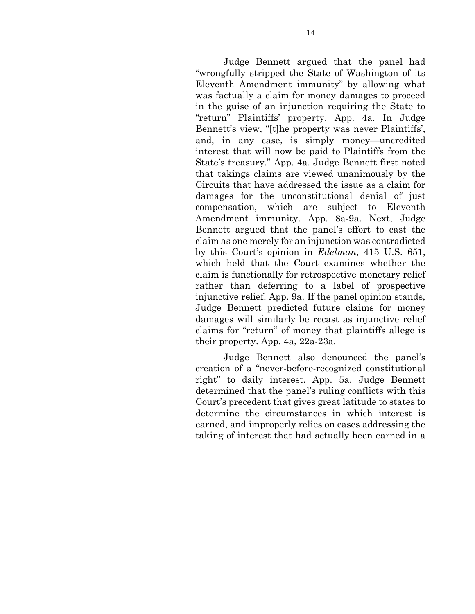Judge Bennett argued that the panel had "wrongfully stripped the State of Washington of its Eleventh Amendment immunity" by allowing what was factually a claim for money damages to proceed in the guise of an injunction requiring the State to "return" Plaintiffs' property. App. 4a. In Judge Bennett's view, "[t]he property was never Plaintiffs', and, in any case, is simply money—uncredited interest that will now be paid to Plaintiffs from the State's treasury." App. 4a. Judge Bennett first noted that takings claims are viewed unanimously by the Circuits that have addressed the issue as a claim for damages for the unconstitutional denial of just compensation, which are subject to Eleventh Amendment immunity. App. 8a-9a. Next, Judge Bennett argued that the panel's effort to cast the claim as one merely for an injunction was contradicted by this Court's opinion in *Edelman*, 415 U.S. 651, which held that the Court examines whether the claim is functionally for retrospective monetary relief rather than deferring to a label of prospective injunctive relief. App. 9a. If the panel opinion stands, Judge Bennett predicted future claims for money damages will similarly be recast as injunctive relief claims for "return" of money that plaintiffs allege is their property. App. 4a, 22a-23a.

Judge Bennett also denounced the panel's creation of a "never-before-recognized constitutional right" to daily interest. App. 5a. Judge Bennett determined that the panel's ruling conflicts with this Court's precedent that gives great latitude to states to determine the circumstances in which interest is earned, and improperly relies on cases addressing the taking of interest that had actually been earned in a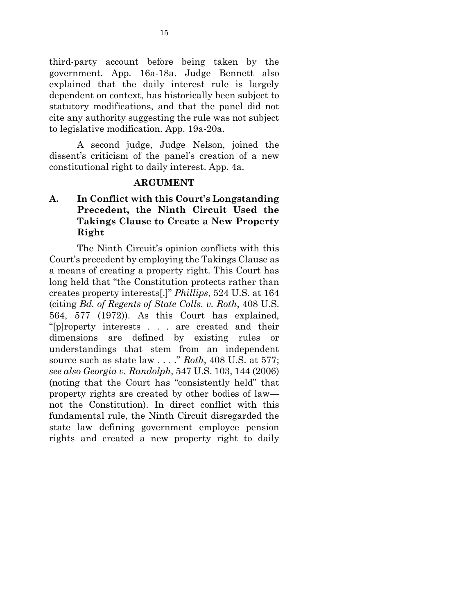third-party account before being taken by the government. App. 16a-18a. Judge Bennett also explained that the daily interest rule is largely dependent on context, has historically been subject to statutory modifications, and that the panel did not cite any authority suggesting the rule was not subject to legislative modification. App. 19a-20a.

A second judge, Judge Nelson, joined the dissent's criticism of the panel's creation of a new constitutional right to daily interest. App. 4a.

#### **ARGUMENT**

## **A. In Conflict with this Court's Longstanding Precedent, the Ninth Circuit Used the Takings Clause to Create a New Property Right**

The Ninth Circuit's opinion conflicts with this Court's precedent by employing the Takings Clause as a means of creating a property right. This Court has long held that "the Constitution protects rather than creates property interests[.]" *Phillips*, 524 U.S. at 164 (citing *Bd. of Regents of State Colls. v. Roth*, 408 U.S. 564, 577 (1972)). As this Court has explained, "[p]roperty interests . . . are created and their dimensions are defined by existing rules or understandings that stem from an independent source such as state law . . . ." *Roth*, 408 U.S. at 577; *see also Georgia v. Randolph*, 547 U.S. 103, 144 (2006) (noting that the Court has "consistently held" that property rights are created by other bodies of law not the Constitution). In direct conflict with this fundamental rule, the Ninth Circuit disregarded the state law defining government employee pension rights and created a new property right to daily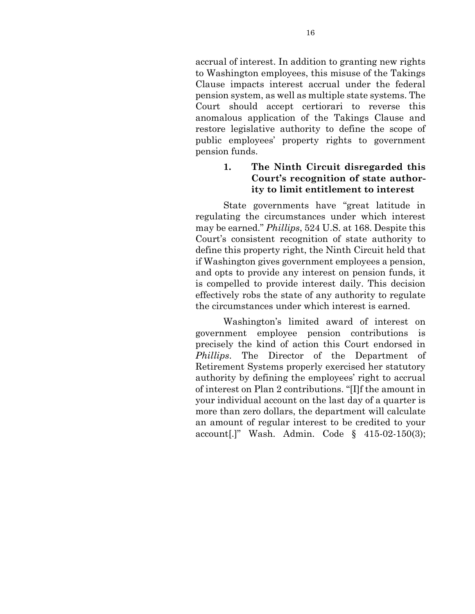accrual of interest. In addition to granting new rights to Washington employees, this misuse of the Takings Clause impacts interest accrual under the federal pension system, as well as multiple state systems. The Court should accept certiorari to reverse this anomalous application of the Takings Clause and restore legislative authority to define the scope of public employees' property rights to government pension funds.

## **1. The Ninth Circuit disregarded this Court's recognition of state authority to limit entitlement to interest**

State governments have "great latitude in regulating the circumstances under which interest may be earned." *Phillips*, 524 U.S. at 168. Despite this Court's consistent recognition of state authority to define this property right, the Ninth Circuit held that if Washington gives government employees a pension, and opts to provide any interest on pension funds, it is compelled to provide interest daily. This decision effectively robs the state of any authority to regulate the circumstances under which interest is earned.

Washington's limited award of interest on government employee pension contributions is precisely the kind of action this Court endorsed in *Phillips*. The Director of the Department of Retirement Systems properly exercised her statutory authority by defining the employees' right to accrual of interest on Plan 2 contributions. "[I]f the amount in your individual account on the last day of a quarter is more than zero dollars, the department will calculate an amount of regular interest to be credited to your account[.]" Wash. Admin. Code § 415-02-150(3);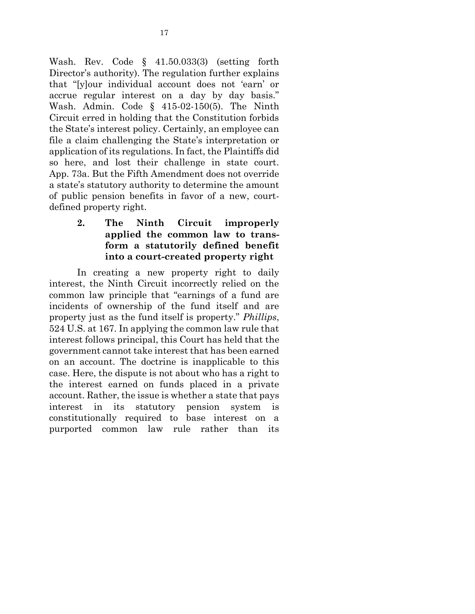Wash. Rev. Code § 41.50.033(3) (setting forth Director's authority). The regulation further explains that "[y]our individual account does not 'earn' or accrue regular interest on a day by day basis." Wash. Admin. Code § 415-02-150(5). The Ninth Circuit erred in holding that the Constitution forbids the State's interest policy. Certainly, an employee can file a claim challenging the State's interpretation or application of its regulations. In fact, the Plaintiffs did so here, and lost their challenge in state court. App. 73a. But the Fifth Amendment does not override a state's statutory authority to determine the amount of public pension benefits in favor of a new, courtdefined property right.

## **2. The Ninth Circuit improperly applied the common law to transform a statutorily defined benefit into a court-created property right**

In creating a new property right to daily interest, the Ninth Circuit incorrectly relied on the common law principle that "earnings of a fund are incidents of ownership of the fund itself and are property just as the fund itself is property." *Phillips*, 524 U.S. at 167. In applying the common law rule that interest follows principal, this Court has held that the government cannot take interest that has been earned on an account. The doctrine is inapplicable to this case. Here, the dispute is not about who has a right to the interest earned on funds placed in a private account. Rather, the issue is whether a state that pays interest in its statutory pension system is constitutionally required to base interest on a purported common law rule rather than its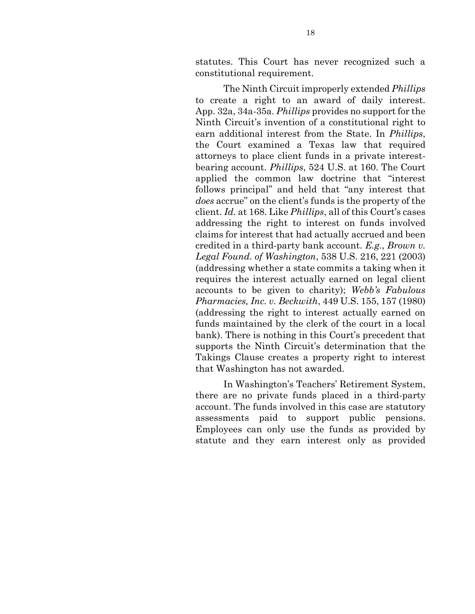statutes. This Court has never recognized such a constitutional requirement.

The Ninth Circuit improperly extended *Phillips*  to create a right to an award of daily interest. App. 32a, 34a-35a. *Phillips* provides no support for the Ninth Circuit's invention of a constitutional right to earn additional interest from the State. In *Phillips*, the Court examined a Texas law that required attorneys to place client funds in a private interestbearing account. *Phillips*, 524 U.S. at 160. The Court applied the common law doctrine that "interest follows principal" and held that "any interest that *does* accrue" on the client's funds is the property of the client. *Id.* at 168. Like *Phillips*, all of this Court's cases addressing the right to interest on funds involved claims for interest that had actually accrued and been credited in a third-party bank account. *E.g.*, *Brown v. Legal Found. of Washington*, 538 U.S. 216, 221 (2003) (addressing whether a state commits a taking when it requires the interest actually earned on legal client accounts to be given to charity); *Webb's Fabulous Pharmacies, Inc. v. Beckwith*, 449 U.S. 155, 157 (1980) (addressing the right to interest actually earned on funds maintained by the clerk of the court in a local bank). There is nothing in this Court's precedent that supports the Ninth Circuit's determination that the Takings Clause creates a property right to interest that Washington has not awarded.

In Washington's Teachers' Retirement System, there are no private funds placed in a third-party account. The funds involved in this case are statutory assessments paid to support public pensions. Employees can only use the funds as provided by statute and they earn interest only as provided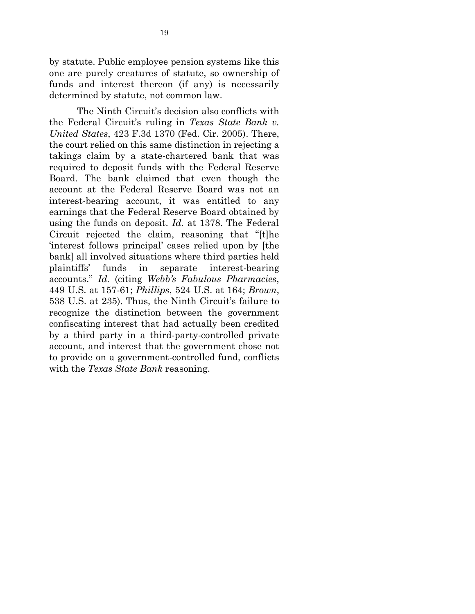by statute. Public employee pension systems like this one are purely creatures of statute, so ownership of funds and interest thereon (if any) is necessarily determined by statute, not common law.

The Ninth Circuit's decision also conflicts with the Federal Circuit's ruling in *Texas State Bank v. United States*, 423 F.3d 1370 (Fed. Cir. 2005). There, the court relied on this same distinction in rejecting a takings claim by a state-chartered bank that was required to deposit funds with the Federal Reserve Board. The bank claimed that even though the account at the Federal Reserve Board was not an interest-bearing account, it was entitled to any earnings that the Federal Reserve Board obtained by using the funds on deposit. *Id.* at 1378. The Federal Circuit rejected the claim, reasoning that "[t]he 'interest follows principal' cases relied upon by [the bank] all involved situations where third parties held plaintiffs' funds in separate interest-bearing accounts." *Id.* (citing *Webb's Fabulous Pharmacies*, 449 U.S. at 157-61; *Phillips*, 524 U.S. at 164; *Brown*, 538 U.S. at 235). Thus, the Ninth Circuit's failure to recognize the distinction between the government confiscating interest that had actually been credited by a third party in a third-party-controlled private account, and interest that the government chose not to provide on a government-controlled fund, conflicts with the *Texas State Bank* reasoning.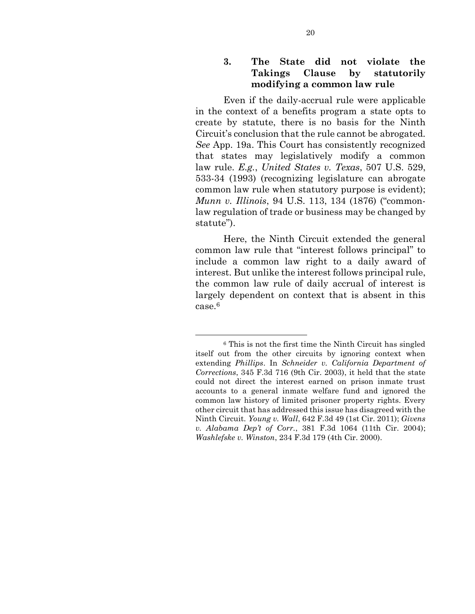## **3. The State did not violate the Takings Clause by statutorily modifying a common law rule**

Even if the daily-accrual rule were applicable in the context of a benefits program a state opts to create by statute, there is no basis for the Ninth Circuit's conclusion that the rule cannot be abrogated. *See* App. 19a. This Court has consistently recognized that states may legislatively modify a common law rule. *E.g.*, *United States v. Texas*, 507 U.S. 529, 533-34 (1993) (recognizing legislature can abrogate common law rule when statutory purpose is evident); *Munn v. Illinois*, 94 U.S. 113, 134 (1876) ("commonlaw regulation of trade or business may be changed by statute").

Here, the Ninth Circuit extended the general common law rule that "interest follows principal" to include a common law right to a daily award of interest. But unlike the interest follows principal rule, the common law rule of daily accrual of interest is largely dependent on context that is absent in this case.<sup>6</sup>

<sup>6</sup> This is not the first time the Ninth Circuit has singled itself out from the other circuits by ignoring context when extending *Phillips*. In *Schneider v. California Department of Corrections*, 345 F.3d 716 (9th Cir. 2003), it held that the state could not direct the interest earned on prison inmate trust accounts to a general inmate welfare fund and ignored the common law history of limited prisoner property rights. Every other circuit that has addressed this issue has disagreed with the Ninth Circuit. *Young v. Wall*, 642 F.3d 49 (1st Cir. 2011); *Givens v. Alabama Dep't of Corr.*, 381 F.3d 1064 (11th Cir. 2004); *Washlefske v. Winston*, 234 F.3d 179 (4th Cir. 2000).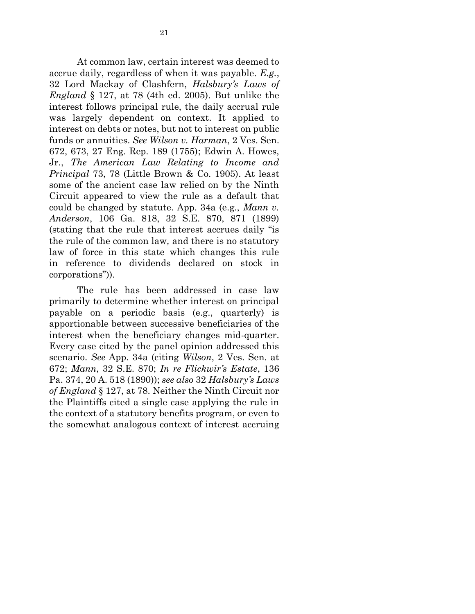At common law, certain interest was deemed to accrue daily, regardless of when it was payable. *E.g.*, 32 Lord Mackay of Clashfern, *Halsbury's Laws of England* § 127, at 78 (4th ed. 2005). But unlike the interest follows principal rule, the daily accrual rule was largely dependent on context. It applied to interest on debts or notes, but not to interest on public funds or annuities. *See Wilson v. Harman*, 2 Ves. Sen. 672, 673, 27 Eng. Rep. 189 (1755); Edwin A. Howes, Jr., *The American Law Relating to Income and Principal* 73, 78 (Little Brown & Co. 1905). At least some of the ancient case law relied on by the Ninth Circuit appeared to view the rule as a default that could be changed by statute. App. 34a (e.g., *Mann v. Anderson*, 106 Ga. 818, 32 S.E. 870, 871 (1899) (stating that the rule that interest accrues daily "is the rule of the common law*,* and there is no statutory law of force in this state which changes this rule in reference to dividends declared on stock in corporations")).

The rule has been addressed in case law primarily to determine whether interest on principal payable on a periodic basis (e.g., quarterly) is apportionable between successive beneficiaries of the interest when the beneficiary changes mid-quarter. Every case cited by the panel opinion addressed this scenario. *See* App. 34a (citing *Wilson*, 2 Ves. Sen. at 672; *Mann*, 32 S.E. 870; *In re Flickwir's Estate*, 136 Pa. 374, 20 A. 518 (1890)); *see also* 32 *Halsbury's Laws of England* § 127, at 78. Neither the Ninth Circuit nor the Plaintiffs cited a single case applying the rule in the context of a statutory benefits program, or even to the somewhat analogous context of interest accruing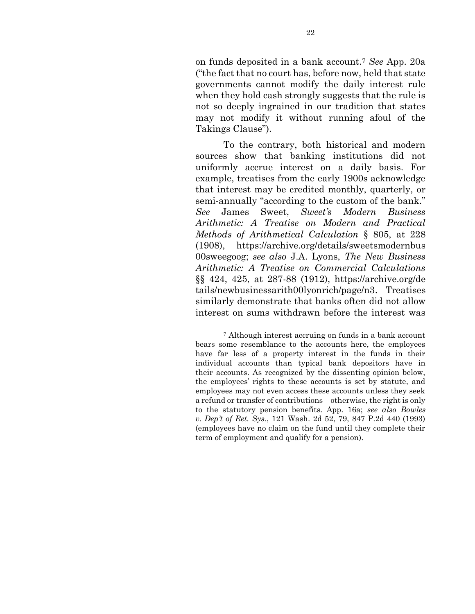on funds deposited in a bank account.<sup>7</sup> *See* App. 20a ("the fact that no court has, before now, held that state governments cannot modify the daily interest rule when they hold cash strongly suggests that the rule is not so deeply ingrained in our tradition that states may not modify it without running afoul of the Takings Clause").

To the contrary, both historical and modern sources show that banking institutions did not uniformly accrue interest on a daily basis. For example, treatises from the early 1900s acknowledge that interest may be credited monthly, quarterly, or semi-annually "according to the custom of the bank." *See* James Sweet, *Sweet's Modern Business Arithmetic: A Treatise on Modern and Practical Methods of Arithmetical Calculation* § 805, at 228 (1908), https://archive.org/details/sweetsmodernbus 00sweegoog; *see also* J.A. Lyons, *The New Business Arithmetic: A Treatise on Commercial Calculations* §§ 424, 425, at 287-88 (1912), https://archive.org/de tails/newbusinessarith00lyonrich/page/n3. Treatises similarly demonstrate that banks often did not allow interest on sums withdrawn before the interest was

<sup>7</sup> Although interest accruing on funds in a bank account bears some resemblance to the accounts here, the employees have far less of a property interest in the funds in their individual accounts than typical bank depositors have in their accounts. As recognized by the dissenting opinion below, the employees' rights to these accounts is set by statute, and employees may not even access these accounts unless they seek a refund or transfer of contributions—otherwise, the right is only to the statutory pension benefits. App. 16a; *see also Bowles v. Dep't of Ret. Sys.*, 121 Wash. 2d 52, 79, 847 P.2d 440 (1993) (employees have no claim on the fund until they complete their term of employment and qualify for a pension).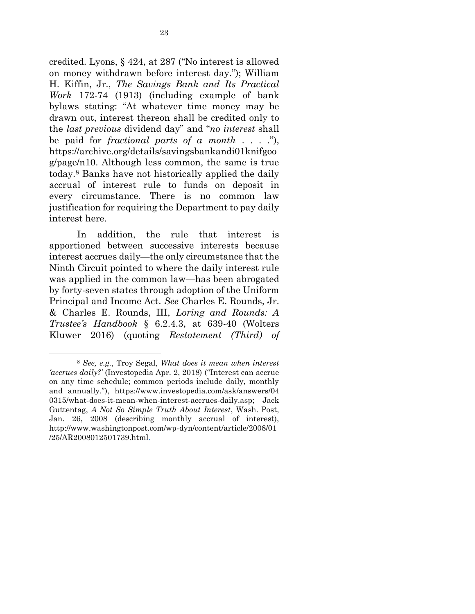credited. Lyons, § 424, at 287 ("No interest is allowed on money withdrawn before interest day."); William H. Kiffin, Jr., *The Savings Bank and Its Practical Work* 172-74 (1913) (including example of bank bylaws stating: "At whatever time money may be drawn out, interest thereon shall be credited only to the *last previous* dividend day" and "*no interest* shall be paid for *fractional parts of a month* . . . ."), https://archive.org/details/savingsbankandi01knifgoo g/page/n10. Although less common, the same is true today.<sup>8</sup> Banks have not historically applied the daily accrual of interest rule to funds on deposit in every circumstance. There is no common law justification for requiring the Department to pay daily interest here.

In addition, the rule that interest is apportioned between successive interests because interest accrues daily—the only circumstance that the Ninth Circuit pointed to where the daily interest rule was applied in the common law—has been abrogated by forty-seven states through adoption of the Uniform Principal and Income Act. *See* Charles E. Rounds, Jr. & Charles E. Rounds, III, *Loring and Rounds: A Trustee's Handbook* § 6.2.4.3, at 639-40 (Wolters Kluwer 2016) (quoting *Restatement (Third) of* 

 $\overline{a}$ 

<sup>8</sup> *See, e.g.*, Troy Segal, *What does it mean when interest 'accrues daily?'* (Investopedia Apr. 2, 2018) ("Interest can accrue on any time schedule; common periods include daily, monthly and annually."), https://www.investopedia.com/ask/answers/04 0315/what-does-it-mean-when-interest-accrues-daily.asp; Jack Guttentag, *A Not So Simple Truth About Interest*, Wash. Post, Jan. 26, 2008 (describing monthly accrual of interest), http://www.washingtonpost.com/wp-dyn/content/article/2008/01 /25/AR2008012501739.html.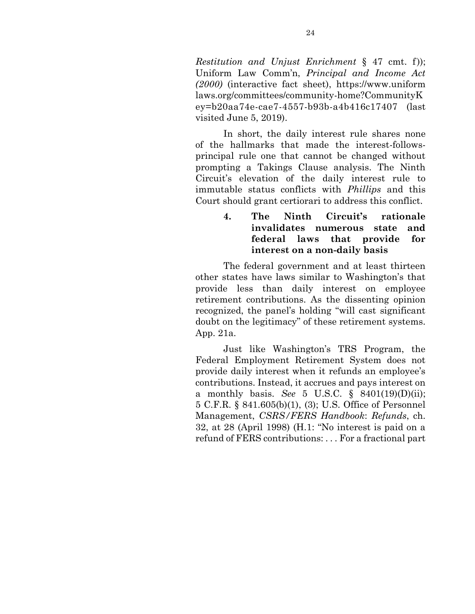*Restitution and Unjust Enrichment* § 47 cmt. f)); Uniform Law Comm'n, *Principal and Income Act (2000)* (interactive fact sheet), https://www.uniform laws.org/committees/community-home?CommunityK ey=b20aa74e-cae7-4557-b93b-a4b416c17407 (last visited June 5, 2019).

In short, the daily interest rule shares none of the hallmarks that made the interest-followsprincipal rule one that cannot be changed without prompting a Takings Clause analysis. The Ninth Circuit's elevation of the daily interest rule to immutable status conflicts with *Phillips* and this Court should grant certiorari to address this conflict.

> **4. The Ninth Circuit's rationale invalidates numerous state and federal laws that provide for interest on a non-daily basis**

The federal government and at least thirteen other states have laws similar to Washington's that provide less than daily interest on employee retirement contributions. As the dissenting opinion recognized, the panel's holding "will cast significant doubt on the legitimacy" of these retirement systems. App. 21a.

Just like Washington's TRS Program, the Federal Employment Retirement System does not provide daily interest when it refunds an employee's contributions. Instead, it accrues and pays interest on a monthly basis. *See* 5 U.S.C. § 8401(19)(D)(ii); 5 C.F.R. § 841.605(b)(1), (3); U.S. Office of Personnel Management, *CSRS/FERS Handbook*: *Refunds*, ch. 32, at 28 (April 1998) (H.1: "No interest is paid on a refund of FERS contributions: . . . For a fractional part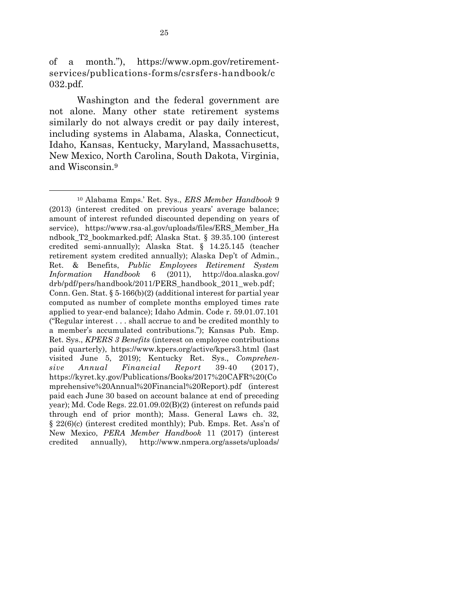of a month."), https://www.opm.gov/retirementservices/publications-forms/csrsfers-handbook/c 032.pdf.

Washington and the federal government are not alone. Many other state retirement systems similarly do not always credit or pay daily interest, including systems in Alabama, Alaska, Connecticut, Idaho, Kansas, Kentucky, Maryland, Massachusetts, New Mexico, North Carolina, South Dakota, Virginia, and Wisconsin.<sup>9</sup>

 $\overline{a}$ 

<sup>10</sup> Alabama Emps.' Ret. Sys., *ERS Member Handbook* 9 (2013) (interest credited on previous years' average balance; amount of interest refunded discounted depending on years of service), https://www.rsa-al.gov/uploads/files/ERS Member Ha ndbook\_T2\_bookmarked.pdf; Alaska Stat. § 39.35.100 (interest credited semi-annually); Alaska Stat. § 14.25.145 (teacher retirement system credited annually); Alaska Dep't of Admin., Ret. & Benefits, *Public Employees Retirement System Information Handbook* 6 (2011), http://doa.alaska.gov/ drb/pdf/pers/handbook/2011/PERS\_handbook\_2011\_web.pdf; Conn. Gen. Stat. § 5-166(b)(2) (additional interest for partial year computed as number of complete months employed times rate applied to year-end balance); Idaho Admin. Code r. 59.01.07.101 ("Regular interest . . . shall accrue to and be credited monthly to a member's accumulated contributions."); Kansas Pub. Emp. Ret. Sys., *KPERS 3 Benefits* (interest on employee contributions paid quarterly), https://www.kpers.org/active/kpers3.html (last visited June 5, 2019); Kentucky Ret. Sys., *Comprehensive Annual Financial Report* 39-40 (2017), https://kyret.ky.gov/Publications/Books/2017%20CAFR%20(Co mprehensive%20Annual%20Financial%20Report).pdf (interest paid each June 30 based on account balance at end of preceding year); Md. Code Regs. 22.01.09.02(B)(2) (interest on refunds paid through end of prior month); Mass. General Laws ch. 32, § 22(6)(c) (interest credited monthly); Pub. Emps. Ret. Ass'n of New Mexico, *PERA Member Handbook* 11 (2017) (interest credited annually), http://www.nmpera.org/assets/uploads/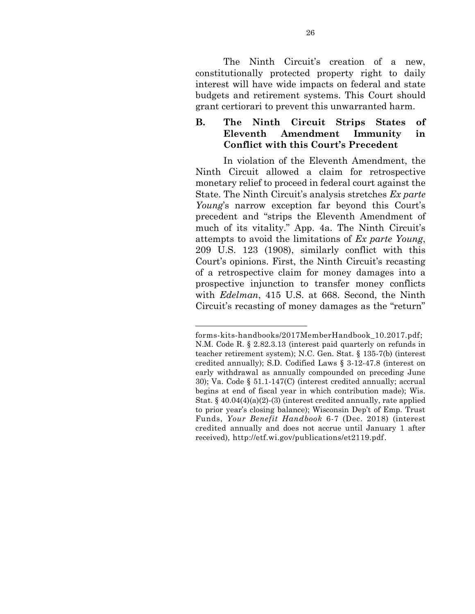The Ninth Circuit's creation of a new, constitutionally protected property right to daily interest will have wide impacts on federal and state budgets and retirement systems. This Court should grant certiorari to prevent this unwarranted harm.

## **B. The Ninth Circuit Strips States of Eleventh Amendment Immunity in Conflict with this Court's Precedent**

In violation of the Eleventh Amendment, the Ninth Circuit allowed a claim for retrospective monetary relief to proceed in federal court against the State. The Ninth Circuit's analysis stretches *Ex parte Young*'s narrow exception far beyond this Court's precedent and "strips the Eleventh Amendment of much of its vitality." App. 4a. The Ninth Circuit's attempts to avoid the limitations of *Ex parte Young*, 209 U.S. 123 (1908), similarly conflict with this Court's opinions. First, the Ninth Circuit's recasting of a retrospective claim for money damages into a prospective injunction to transfer money conflicts with *Edelman*, 415 U.S. at 668. Second, the Ninth Circuit's recasting of money damages as the "return"

forms-kits-handbooks/2017MemberHandbook\_10.2017.pdf; N.M. Code R. § 2.82.3.13 (interest paid quarterly on refunds in teacher retirement system); N.C. Gen. Stat. § 135-7(b) (interest credited annually); S.D. Codified Laws § 3-12-47.8 (interest on early withdrawal as annually compounded on preceding June 30); Va. Code § 51.1-147(C) (interest credited annually; accrual begins at end of fiscal year in which contribution made); Wis. Stat. §  $40.04(4)(a)(2)$ -(3) (interest credited annually, rate applied to prior year's closing balance); Wisconsin Dep't of Emp. Trust Funds, *Your Benefit Handbook* 6-7 (Dec. 2018) (interest credited annually and does not accrue until January 1 after received), http://etf.wi.gov/publications/et2119.pdf.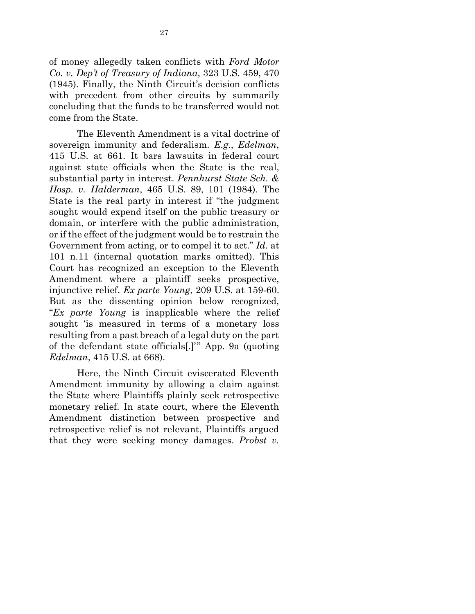of money allegedly taken conflicts with *Ford Motor Co. v. Dep't of Treasury of Indiana*, 323 U.S. 459, 470 (1945). Finally, the Ninth Circuit's decision conflicts with precedent from other circuits by summarily concluding that the funds to be transferred would not come from the State.

The Eleventh Amendment is a vital doctrine of sovereign immunity and federalism. *E.g.*, *Edelman*, 415 U.S. at 661. It bars lawsuits in federal court against state officials when the State is the real, substantial party in interest. *Pennhurst State Sch. & Hosp. v. Halderman*, 465 U.S. 89, 101 (1984). The State is the real party in interest if "the judgment sought would expend itself on the public treasury or domain, or interfere with the public administration, or if the effect of the judgment would be to restrain the Government from acting, or to compel it to act." *Id.* at 101 n.11 (internal quotation marks omitted). This Court has recognized an exception to the Eleventh Amendment where a plaintiff seeks prospective, injunctive relief. *Ex parte Young*, 209 U.S. at 159-60. But as the dissenting opinion below recognized, "*Ex parte Young* is inapplicable where the relief sought 'is measured in terms of a monetary loss resulting from a past breach of a legal duty on the part of the defendant state officials[.]'" App. 9a (quoting *Edelman*, 415 U.S. at 668).

Here, the Ninth Circuit eviscerated Eleventh Amendment immunity by allowing a claim against the State where Plaintiffs plainly seek retrospective monetary relief. In state court, where the Eleventh Amendment distinction between prospective and retrospective relief is not relevant, Plaintiffs argued that they were seeking money damages. *Probst v.*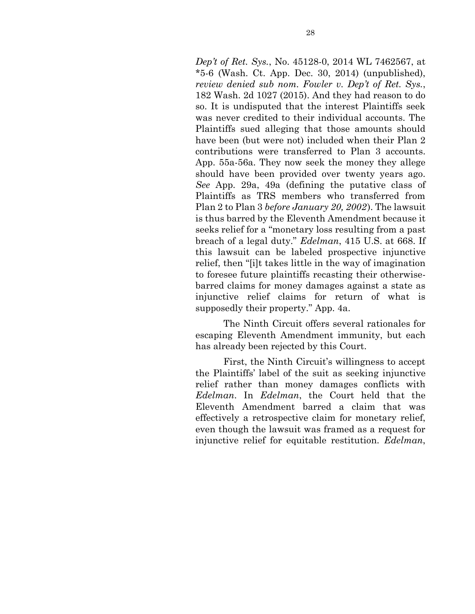*Dep't of Ret. Sys.*, No. 45128-0, 2014 WL 7462567, at  $*5-6$  (Wash. Ct. App. Dec. 30, 2014) (unpublished), *review denied sub nom. Fowler v. Dep't of Ret. Sys.*, 182 Wash. 2d 1027 (2015). And they had reason to do so. It is undisputed that the interest Plaintiffs seek was never credited to their individual accounts. The Plaintiffs sued alleging that those amounts should have been (but were not) included when their Plan 2 contributions were transferred to Plan 3 accounts. App. 55a-56a. They now seek the money they allege should have been provided over twenty years ago. *See* App. 29a, 49a (defining the putative class of Plaintiffs as TRS members who transferred from Plan 2 to Plan 3 *before January 20, 2002*). The lawsuit is thus barred by the Eleventh Amendment because it seeks relief for a "monetary loss resulting from a past breach of a legal duty." *Edelman*, 415 U.S. at 668. If this lawsuit can be labeled prospective injunctive relief, then "[i]t takes little in the way of imagination to foresee future plaintiffs recasting their otherwisebarred claims for money damages against a state as injunctive relief claims for return of what is supposedly their property." App. 4a.

The Ninth Circuit offers several rationales for escaping Eleventh Amendment immunity, but each has already been rejected by this Court.

First, the Ninth Circuit's willingness to accept the Plaintiffs' label of the suit as seeking injunctive relief rather than money damages conflicts with *Edelman*. In *Edelman*, the Court held that the Eleventh Amendment barred a claim that was effectively a retrospective claim for monetary relief, even though the lawsuit was framed as a request for injunctive relief for equitable restitution. *Edelman*,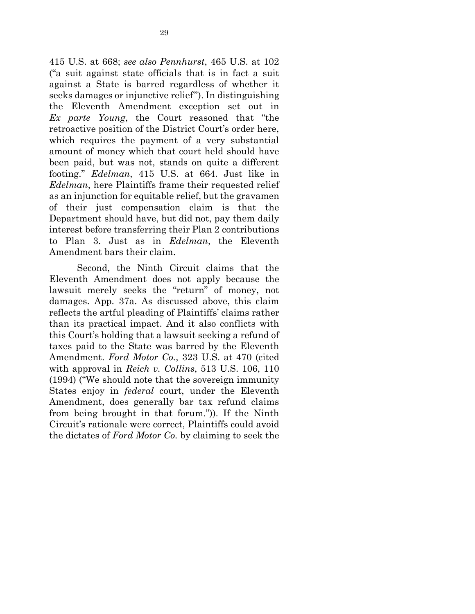415 U.S. at 668; *see also Pennhurst*, 465 U.S. at 102 ("a suit against state officials that is in fact a suit against a State is barred regardless of whether it seeks damages or injunctive relief"). In distinguishing the Eleventh Amendment exception set out in *Ex parte Young*, the Court reasoned that "the retroactive position of the District Court's order here, which requires the payment of a very substantial amount of money which that court held should have been paid, but was not, stands on quite a different footing." *Edelman*, 415 U.S. at 664. Just like in *Edelman*, here Plaintiffs frame their requested relief as an injunction for equitable relief, but the gravamen of their just compensation claim is that the Department should have, but did not, pay them daily interest before transferring their Plan 2 contributions to Plan 3. Just as in *Edelman*, the Eleventh Amendment bars their claim.

Second, the Ninth Circuit claims that the Eleventh Amendment does not apply because the lawsuit merely seeks the "return" of money, not damages. App. 37a. As discussed above, this claim reflects the artful pleading of Plaintiffs' claims rather than its practical impact. And it also conflicts with this Court's holding that a lawsuit seeking a refund of taxes paid to the State was barred by the Eleventh Amendment. *Ford Motor Co.*, 323 U.S. at 470 (cited with approval in *Reich v. Collins*, 513 U.S. 106, 110 (1994) ("We should note that the sovereign immunity States enjoy in *federal* court, under the Eleventh Amendment, does generally bar tax refund claims from being brought in that forum.")). If the Ninth Circuit's rationale were correct, Plaintiffs could avoid the dictates of *Ford Motor Co.* by claiming to seek the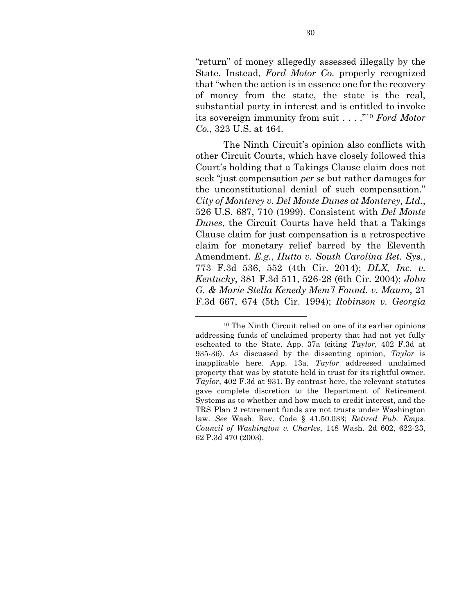"return" of money allegedly assessed illegally by the State. Instead, *Ford Motor Co.* properly recognized that "when the action is in essence one for the recovery of money from the state, the state is the real, substantial party in interest and is entitled to invoke its sovereign immunity from suit . . . ."<sup>10</sup> *Ford Motor Co.*, 323 U.S. at 464.

The Ninth Circuit's opinion also conflicts with other Circuit Courts, which have closely followed this Court's holding that a Takings Clause claim does not seek "just compensation *per se* but rather damages for the unconstitutional denial of such compensation." *City of Monterey v. Del Monte Dunes at Monterey, Ltd.*, 526 U.S. 687, 710 (1999). Consistent with *Del Monte Dunes*, the Circuit Courts have held that a Takings Clause claim for just compensation is a retrospective claim for monetary relief barred by the Eleventh Amendment. *E.g.*, *Hutto v. South Carolina Ret. Sys.*, 773 F.3d 536, 552 (4th Cir. 2014); *DLX, Inc. v. Kentucky*, 381 F.3d 511, 526-28 (6th Cir. 2004); *John G. & Marie Stella Kenedy Mem'l Found. v. Mauro*, 21 F.3d 667, 674 (5th Cir. 1994); *Robinson v. Georgia* 

<sup>10</sup> The Ninth Circuit relied on one of its earlier opinions addressing funds of unclaimed property that had not yet fully escheated to the State. App. 37a (citing *Taylor*, 402 F.3d at 935-36). As discussed by the dissenting opinion, *Taylor* is inapplicable here. App. 13a. *Taylor* addressed unclaimed property that was by statute held in trust for its rightful owner. *Taylor*, 402 F.3d at 931. By contrast here, the relevant statutes gave complete discretion to the Department of Retirement Systems as to whether and how much to credit interest, and the TRS Plan 2 retirement funds are not trusts under Washington law. *See* Wash. Rev. Code § 41.50.033; *Retired Pub. Emps. Council of Washington v. Charles*, 148 Wash. 2d 602, 622-23, 62 P.3d 470 (2003).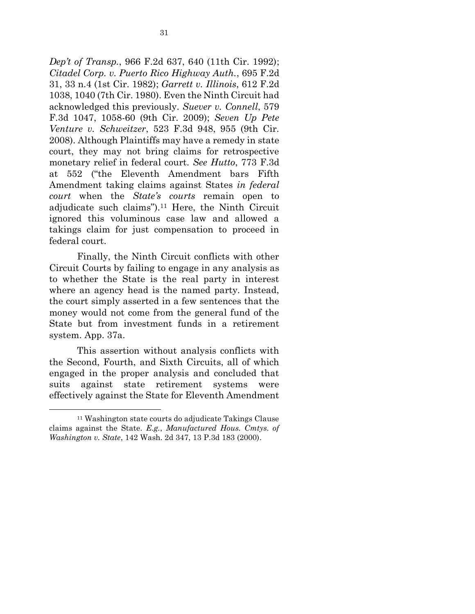*Dep't of Transp.*, 966 F.2d 637, 640 (11th Cir. 1992); *Citadel Corp. v. Puerto Rico Highway Auth.*, 695 F.2d 31, 33 n.4 (1st Cir. 1982); *Garrett v. Illinois*, 612 F.2d 1038, 1040 (7th Cir. 1980). Even the Ninth Circuit had acknowledged this previously. *Suever v. Connell*, 579 F.3d 1047, 1058-60 (9th Cir. 2009); *Seven Up Pete Venture v. Schweitzer*, 523 F.3d 948, 955 (9th Cir. 2008). Although Plaintiffs may have a remedy in state court, they may not bring claims for retrospective monetary relief in federal court. *See Hutto*, 773 F.3d at 552 ("the Eleventh Amendment bars Fifth Amendment taking claims against States *in federal court* when the *State's courts* remain open to adjudicate such claims").<sup>11</sup> Here, the Ninth Circuit ignored this voluminous case law and allowed a takings claim for just compensation to proceed in federal court.

Finally, the Ninth Circuit conflicts with other Circuit Courts by failing to engage in any analysis as to whether the State is the real party in interest where an agency head is the named party. Instead, the court simply asserted in a few sentences that the money would not come from the general fund of the State but from investment funds in a retirement system. App. 37a.

This assertion without analysis conflicts with the Second, Fourth, and Sixth Circuits, all of which engaged in the proper analysis and concluded that suits against state retirement systems were effectively against the State for Eleventh Amendment

1

<sup>11</sup> Washington state courts do adjudicate Takings Clause claims against the State. *E.g.*, *Manufactured Hous. Cmtys. of Washington v. State*, 142 Wash. 2d 347, 13 P.3d 183 (2000).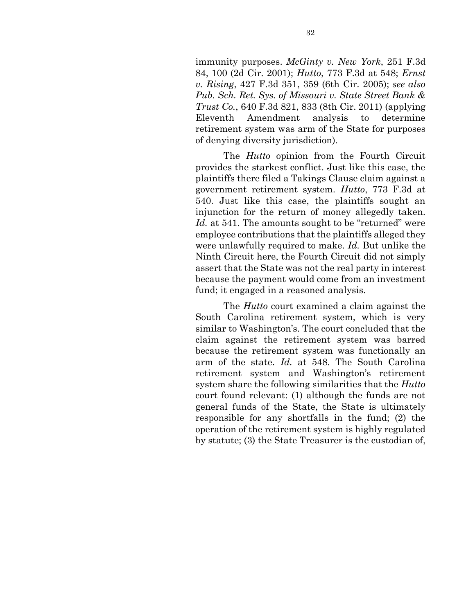immunity purposes. *McGinty v. New York*, 251 F.3d 84, 100 (2d Cir. 2001); *Hutto*, 773 F.3d at 548; *Ernst v. Rising*, 427 F.3d 351, 359 (6th Cir. 2005); *see also Pub. Sch. Ret. Sys. of Missouri v. State Street Bank & Trust Co.*, 640 F.3d 821, 833 (8th Cir. 2011) (applying Eleventh Amendment analysis to determine retirement system was arm of the State for purposes of denying diversity jurisdiction).

The *Hutto* opinion from the Fourth Circuit provides the starkest conflict. Just like this case, the plaintiffs there filed a Takings Clause claim against a government retirement system. *Hutto*, 773 F.3d at 540. Just like this case, the plaintiffs sought an injunction for the return of money allegedly taken. Id. at 541. The amounts sought to be "returned" were employee contributions that the plaintiffs alleged they were unlawfully required to make. *Id.* But unlike the Ninth Circuit here, the Fourth Circuit did not simply assert that the State was not the real party in interest because the payment would come from an investment fund; it engaged in a reasoned analysis.

The *Hutto* court examined a claim against the South Carolina retirement system, which is very similar to Washington's. The court concluded that the claim against the retirement system was barred because the retirement system was functionally an arm of the state. *Id.* at 548. The South Carolina retirement system and Washington's retirement system share the following similarities that the *Hutto*  court found relevant: (1) although the funds are not general funds of the State, the State is ultimately responsible for any shortfalls in the fund; (2) the operation of the retirement system is highly regulated by statute; (3) the State Treasurer is the custodian of,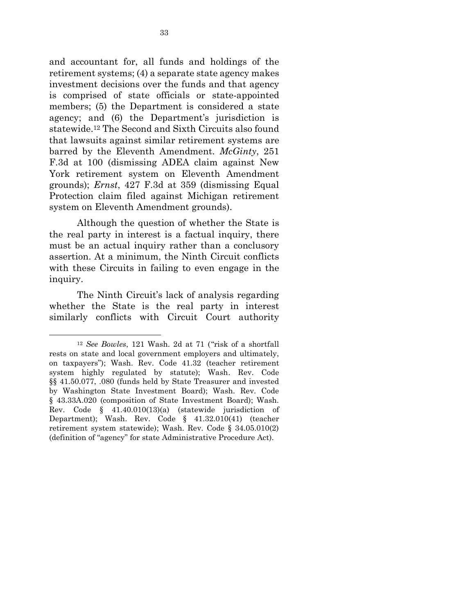and accountant for, all funds and holdings of the retirement systems; (4) a separate state agency makes investment decisions over the funds and that agency is comprised of state officials or state-appointed members; (5) the Department is considered a state agency; and (6) the Department's jurisdiction is statewide. <sup>12</sup> The Second and Sixth Circuits also found that lawsuits against similar retirement systems are barred by the Eleventh Amendment. *McGinty*, 251 F.3d at 100 (dismissing ADEA claim against New York retirement system on Eleventh Amendment grounds); *Ernst*, 427 F.3d at 359 (dismissing Equal Protection claim filed against Michigan retirement system on Eleventh Amendment grounds).

Although the question of whether the State is the real party in interest is a factual inquiry, there must be an actual inquiry rather than a conclusory assertion. At a minimum, the Ninth Circuit conflicts with these Circuits in failing to even engage in the inquiry.

The Ninth Circuit's lack of analysis regarding whether the State is the real party in interest similarly conflicts with Circuit Court authority

 $\overline{a}$ 

<sup>12</sup> *See Bowles*, 121 Wash. 2d at 71 ("risk of a shortfall rests on state and local government employers and ultimately, on taxpayers"); Wash. Rev. Code 41.32 (teacher retirement system highly regulated by statute); Wash. Rev. Code §§ 41.50.077, .080 (funds held by State Treasurer and invested by Washington State Investment Board); Wash. Rev. Code § 43.33A.020 (composition of State Investment Board); Wash. Rev. Code § 41.40.010(13)(a) (statewide jurisdiction of Department); Wash. Rev. Code § 41.32.010(41) (teacher retirement system statewide); Wash. Rev. Code § 34.05.010(2) (definition of "agency" for state Administrative Procedure Act).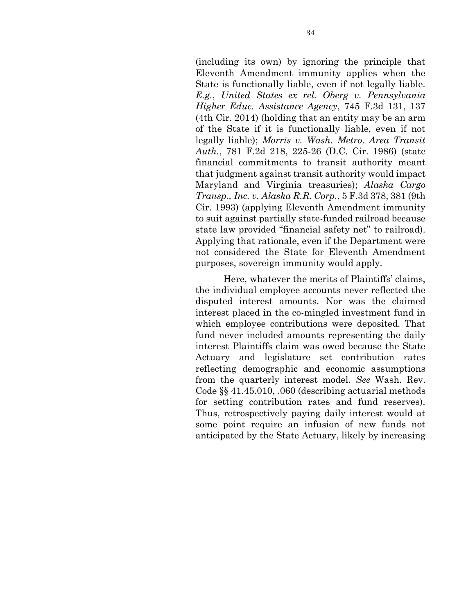(including its own) by ignoring the principle that Eleventh Amendment immunity applies when the State is functionally liable, even if not legally liable. *E.g.*, *United States ex rel. Oberg v. Pennsylvania Higher Educ. Assistance Agency*, 745 F.3d 131, 137 (4th Cir. 2014) (holding that an entity may be an arm of the State if it is functionally liable, even if not legally liable); *Morris v. Wash. Metro. Area Transit Auth.*, 781 F.2d 218, 225-26 (D.C. Cir. 1986) (state financial commitments to transit authority meant that judgment against transit authority would impact Maryland and Virginia treasuries); *Alaska Cargo Transp., Inc. v. Alaska R.R. Corp.*, 5 F.3d 378, 381 (9th Cir. 1993) (applying Eleventh Amendment immunity to suit against partially state-funded railroad because state law provided "financial safety net" to railroad). Applying that rationale, even if the Department were not considered the State for Eleventh Amendment purposes, sovereign immunity would apply.

Here, whatever the merits of Plaintiffs' claims, the individual employee accounts never reflected the disputed interest amounts. Nor was the claimed interest placed in the co-mingled investment fund in which employee contributions were deposited. That fund never included amounts representing the daily interest Plaintiffs claim was owed because the State Actuary and legislature set contribution rates reflecting demographic and economic assumptions from the quarterly interest model. *See* Wash. Rev. Code §§ 41.45.010, .060 (describing actuarial methods for setting contribution rates and fund reserves). Thus, retrospectively paying daily interest would at some point require an infusion of new funds not anticipated by the State Actuary, likely by increasing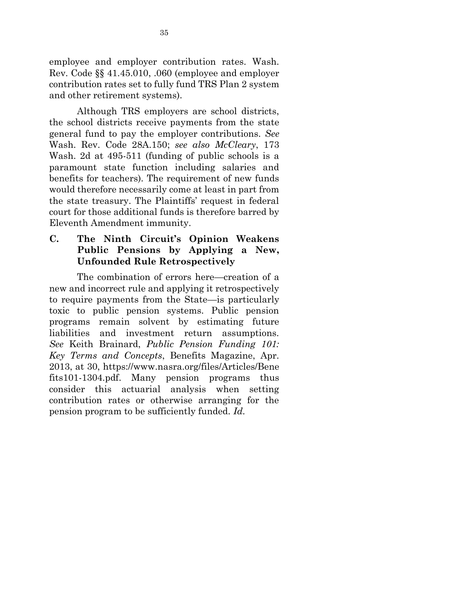employee and employer contribution rates. Wash. Rev. Code §§ 41.45.010, .060 (employee and employer contribution rates set to fully fund TRS Plan 2 system and other retirement systems).

Although TRS employers are school districts, the school districts receive payments from the state general fund to pay the employer contributions. *See* Wash. Rev. Code 28A.150; *see also McCleary*, 173 Wash. 2d at 495-511 (funding of public schools is a paramount state function including salaries and benefits for teachers). The requirement of new funds would therefore necessarily come at least in part from the state treasury. The Plaintiffs' request in federal court for those additional funds is therefore barred by Eleventh Amendment immunity.

**C. The Ninth Circuit's Opinion Weakens Public Pensions by Applying a New, Unfounded Rule Retrospectively**

The combination of errors here—creation of a new and incorrect rule and applying it retrospectively to require payments from the State—is particularly toxic to public pension systems. Public pension programs remain solvent by estimating future liabilities and investment return assumptions. *See* Keith Brainard, *Public Pension Funding 101: Key Terms and Concepts*, Benefits Magazine, Apr. 2013, at 30, https://www.nasra.org/files/Articles/Bene fits101-1304.pdf. Many pension programs thus consider this actuarial analysis when setting contribution rates or otherwise arranging for the pension program to be sufficiently funded. *Id.*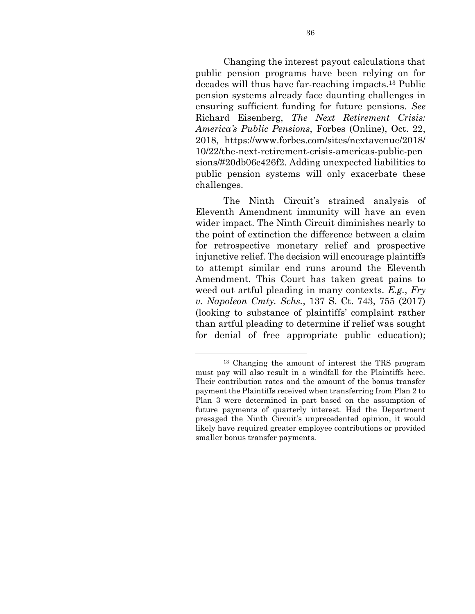Changing the interest payout calculations that public pension programs have been relying on for decades will thus have far-reaching impacts. <sup>13</sup> Public pension systems already face daunting challenges in ensuring sufficient funding for future pensions. *See* Richard Eisenberg, *The Next Retirement Crisis: America's Public Pensions*, Forbes (Online), Oct. 22, 2018, https://www.forbes.com/sites/nextavenue/2018/ 10/22/the-next-retirement-crisis-americas-public-pen sions/#20db06c426f2. Adding unexpected liabilities to public pension systems will only exacerbate these challenges.

The Ninth Circuit's strained analysis of Eleventh Amendment immunity will have an even wider impact. The Ninth Circuit diminishes nearly to the point of extinction the difference between a claim for retrospective monetary relief and prospective injunctive relief. The decision will encourage plaintiffs to attempt similar end runs around the Eleventh Amendment. This Court has taken great pains to weed out artful pleading in many contexts. *E.g.*, *Fry v. Napoleon Cmty. Schs.*, 137 S. Ct. 743, 755 (2017) (looking to substance of plaintiffs' complaint rather than artful pleading to determine if relief was sought for denial of free appropriate public education);

<sup>13</sup> Changing the amount of interest the TRS program must pay will also result in a windfall for the Plaintiffs here. Their contribution rates and the amount of the bonus transfer payment the Plaintiffs received when transferring from Plan 2 to Plan 3 were determined in part based on the assumption of future payments of quarterly interest. Had the Department presaged the Ninth Circuit's unprecedented opinion, it would likely have required greater employee contributions or provided smaller bonus transfer payments.